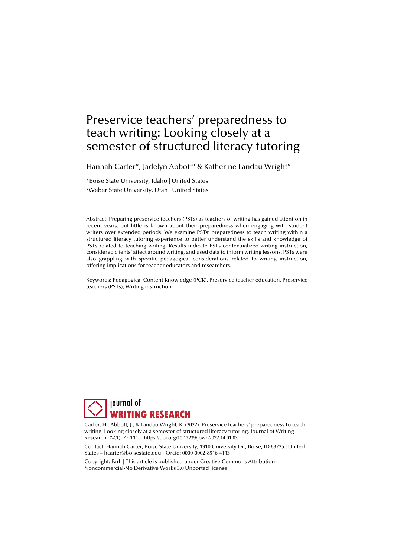# Preservice teachers' preparedness to teach writing: Looking closely at a semester of structured literacy tutoring

Hannah Carter\*, Jadelyn Abbott° & Katherine Landau Wright\*

\*Boise State University, Idaho | United States °Weber State University, Utah | United States

Abstract: Preparing preservice teachers (PSTs) as teachers of writing has gained attention in recent years, but little is known about their preparedness when engaging with student writers over extended periods. We examine PSTs' preparedness to teach writing within a structured literacy tutoring experience to better understand the skills and knowledge of PSTs related to teaching writing. Results indicate PSTs contextualized writing instruction, considered clients' affect around writing, and used data to inform writing lessons. PSTs were also grappling with specific pedagogical considerations related to writing instruction, offering implications for teacher educators and researchers.

Keywords: Pedagogical Content Knowledge (PCK), Preservice teacher education, Preservice teachers (PSTs), Writing instruction



Carter, H., Abbott, J., & Landau Wright, K. (2022). Preservice teachers' preparedness to teach writing: Looking closely at a semester of structured literacy tutoring. Journal of Writing Research, 14(1), 77-111 - https://doi.org/10.17239/jowr-2022.14.01.03

Contact: Hannah Carter, Boise State University, 1910 University Dr., Boise, ID 83725 | United States – hcarter@boisestate.edu - Orcid: 0000-0002-8516-4113

Copyright: Earli | This article is published under Creative Commons Attribution-Noncommercial-No Derivative Works 3.0 Unported license.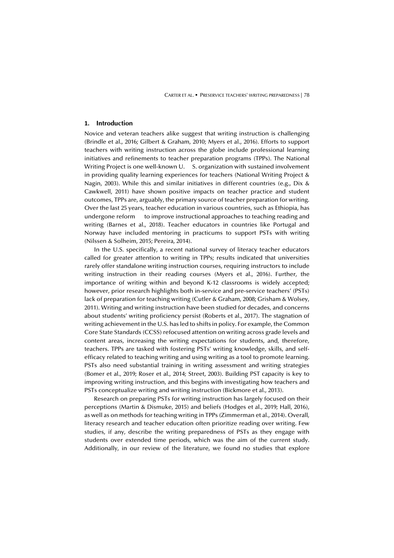CARTER ET AL. ▪ PRESERVICE TEACHERS' WRITING PREPAREDNESS | 78

## **1. Introduction**

Novice and veteran teachers alike suggest that writing instruction is challenging (Brindle et al., 2016; Gilbert & Graham, 2010; Myers et al., 2016). Efforts to support teachers with writing instruction across the globe include professional learning initiatives and refinements to teacher preparation programs (TPPs). The National Writing Project is one well-known U. S. organization with sustained involvement in providing quality learning experiences for teachers (National Writing Project & Nagin, 2003). While this and similar initiatives in different countries (e.g., Dix & Cawkwell, 2011) have shown positive impacts on teacher practice and student outcomes, TPPs are, arguably, the primary source of teacher preparation for writing. Over the last 25 years, teacher education in various countries, such as Ethiopia, has undergone reform to improve instructional approaches to teaching reading and writing (Barnes et al., 2018). Teacher educators in countries like Portugal and Norway have included mentoring in practicums to support PSTs with writing (Nilssen & Solheim, 2015; Pereira, 2014).

In the U.S. specifically, a recent national survey of literacy teacher educators called for greater attention to writing in TPPs; results indicated that universities rarely offer standalone writing instruction courses, requiring instructors to include writing instruction in their reading courses (Myers et al., 2016). Further, the importance of writing within and beyond K-12 classrooms is widely accepted; however, prior research highlights both in-service and pre-service teachers' (PSTs) lack of preparation for teaching writing (Cutler & Graham, 2008; Grisham & Wolsey, 2011). Writing and writing instruction have been studied for decades, and concerns about students' writing proficiency persist (Roberts et al., 2017). The stagnation of writing achievement in the U.S. has led to shifts in policy. For example, the Common Core State Standards (CCSS) refocused attention on writing across grade levels and content areas, increasing the writing expectations for students, and, therefore, teachers. TPPs are tasked with fostering PSTs' writing knowledge, skills, and selfefficacy related to teaching writing and using writing as a tool to promote learning. PSTs also need substantial training in writing assessment and writing strategies (Bomer et al., 2019; Roser et al., 2014; Street, 2003). Building PST capacity is key to improving writing instruction, and this begins with investigating how teachers and PSTs conceptualize writing and writing instruction (Bickmore et al., 2013).

Research on preparing PSTs for writing instruction has largely focused on their perceptions (Martin & Dismuke, 2015) and beliefs (Hodges et al., 2019; Hall, 2016), as well as on methods for teaching writing in TPPs (Zimmerman et al., 2014). Overall, literacy research and teacher education often prioritize reading over writing. Few studies, if any, describe the writing preparedness of PSTs as they engage with students over extended time periods, which was the aim of the current study. Additionally, in our review of the literature, we found no studies that explore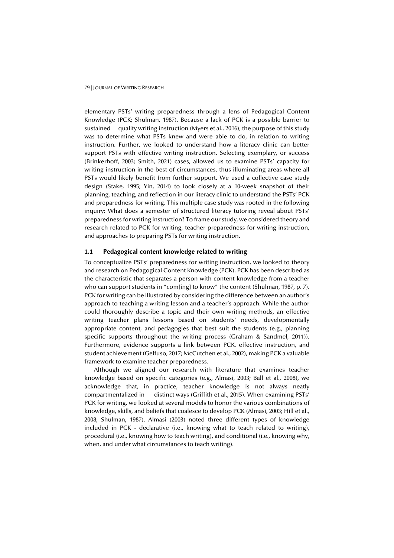elementary PSTs' writing preparedness through a lens of Pedagogical Content Knowledge (PCK; Shulman, 1987). Because a lack of PCK is a possible barrier to sustained quality writing instruction (Myers et al., 2016), the purpose of this study was to determine what PSTs knew and were able to do, in relation to writing instruction. Further, we looked to understand how a literacy clinic can better support PSTs with effective writing instruction. Selecting exemplary, or success (Brinkerhoff, 2003; Smith, 2021) cases, allowed us to examine PSTs' capacity for writing instruction in the best of circumstances, thus illuminating areas where all PSTs would likely benefit from further support. We used a collective case study design (Stake, 1995; Yin, 2014) to look closely at a 10-week snapshot of their planning, teaching, and reflection in our literacy clinic to understand the PSTs' PCK and preparedness for writing. This multiple case study was rooted in the following inquiry: What does a semester of structured literacy tutoring reveal about PSTs' preparedness for writing instruction? To frame our study, we considered theory and research related to PCK for writing, teacher preparedness for writing instruction, and approaches to preparing PSTs for writing instruction.

# **1.1 Pedagogical content knowledge related to writing**

To conceptualize PSTs' preparedness for writing instruction, we looked to theory and research on Pedagogical Content Knowledge (PCK). PCK has been described as the characteristic that separates a person with content knowledge from a teacher who can support students in "com[ing] to know" the content (Shulman, 1987, p. 7). PCK for writing can be illustrated by considering the difference between an author's approach to teaching a writing lesson and a teacher's approach. While the author could thoroughly describe a topic and their own writing methods, an effective writing teacher plans lessons based on students' needs, developmentally appropriate content, and pedagogies that best suit the students (e.g., planning specific supports throughout the writing process (Graham & Sandmel, 2011)). Furthermore, evidence supports a link between PCK, effective instruction, and student achievement (Gelfuso, 2017; McCutchen et al., 2002), making PCK a valuable framework to examine teacher preparedness.

Although we aligned our research with literature that examines teacher knowledge based on specific categories (e.g., Almasi, 2003; Ball et al., 2008), we acknowledge that, in practice, teacher knowledge is not always neatly compartmentalized in distinct ways (Griffith et al., 2015). When examining PSTs' PCK for writing, we looked at several models to honor the various combinations of knowledge, skills, and beliefs that coalesce to develop PCK (Almasi, 2003; Hill et al., 2008; Shulman, 1987). Almasi (2003) noted three different types of knowledge included in PCK - declarative (i.e., knowing what to teach related to writing), procedural (i.e., knowing how to teach writing), and conditional (i.e., knowing why, when, and under what circumstances to teach writing).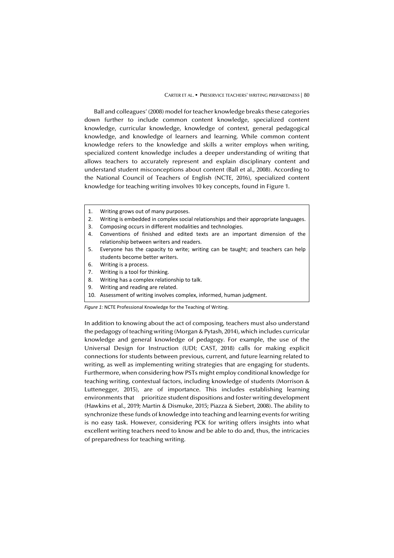CARTER ET AL. ▪ PRESERVICE TEACHERS' WRITING PREPAREDNESS | 80

Ball and colleagues' (2008) model for teacher knowledge breaks these categories down further to include common content knowledge, specialized content knowledge, curricular knowledge, knowledge of context, general pedagogical knowledge, and knowledge of learners and learning. While common content knowledge refers to the knowledge and skills a writer employs when writing, specialized content knowledge includes a deeper understanding of writing that allows teachers to accurately represent and explain disciplinary content and understand student misconceptions about content (Ball et al., 2008). According to the National Council of Teachers of English (NCTE, 2016), specialized content knowledge for teaching writing involves 10 key concepts, found in Figure 1.

- 1. Writing grows out of many purposes.
- 2. Writing is embedded in complex social relationships and their appropriate languages.
- 3. Composing occurs in different modalities and technologies.
- 4. Conventions of finished and edited texts are an important dimension of the relationship between writers and readers.
- 5. Everyone has the capacity to write; writing can be taught; and teachers can help students become better writers.
- 6. Writing is a process.
- 7. Writing is a tool for thinking.
- 8. Writing has a complex relationship to talk.
- 9. Writing and reading are related.
- 10. Assessment of writing involves complex, informed, human judgment.

*Figure 1:* NCTE Professional Knowledge for the Teaching of Writing.

In addition to knowing about the act of composing, teachers must also understand the pedagogy of teaching writing (Morgan & Pytash, 2014), which includes curricular knowledge and general knowledge of pedagogy. For example, the use of the Universal Design for Instruction (UDI; CAST, 2018) calls for making explicit connections for students between previous, current, and future learning related to writing, as well as implementing writing strategies that are engaging for students. Furthermore, when considering how PSTs might employ conditional knowledge for teaching writing, contextual factors, including knowledge of students (Morrison & Luttenegger, 2015), are of importance. This includes establishing learning environments that prioritize student dispositions and foster writing development (Hawkins et al., 2019; Martin & Dismuke, 2015; Piazza & Siebert, 2008). The ability to synchronize these funds of knowledge into teaching and learning events for writing is no easy task. However, considering PCK for writing offers insights into what excellent writing teachers need to know and be able to do and, thus, the intricacies of preparedness for teaching writing.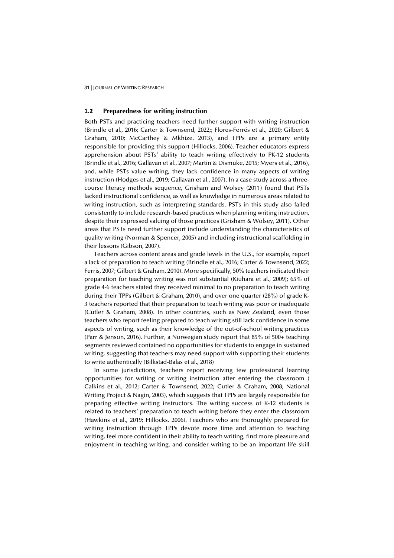# **1.2 Preparedness for writing instruction**

Both PSTs and practicing teachers need further support with writing instruction (Brindle et al., 2016; Carter & Townsend, 2022;; Flores-Ferrés et al., 2020; Gilbert & Graham, 2010; McCarthey & Mkhize, 2013), and TPPs are a primary entity responsible for providing this support (Hillocks, 2006). Teacher educators express apprehension about PSTs' ability to teach writing effectively to PK-12 students (Brindle et al., 2016; Gallavan et al., 2007; Martin & Dismuke, 2015; Myers et al., 2016), and, while PSTs value writing, they lack confidence in many aspects of writing instruction (Hodges et al., 2019; Gallavan et al., 2007). In a case study across a threecourse literacy methods sequence, Grisham and Wolsey (2011) found that PSTs lacked instructional confidence, as well as knowledge in numerous areas related to writing instruction, such as interpreting standards. PSTs in this study also failed consistently to include research-based practices when planning writing instruction, despite their expressed valuing of those practices (Grisham & Wolsey, 2011). Other areas that PSTs need further support include understanding the characteristics of quality writing (Norman & Spencer, 2005) and including instructional scaffolding in their lessons (Gibson, 2007).

Teachers across content areas and grade levels in the U.S., for example, report a lack of preparation to teach writing (Brindle et al., 2016; Carter & Townsend, 2022; Ferris, 2007; Gilbert & Graham, 2010). More specifically, 50% teachers indicated their preparation for teaching writing was not substantial (Kiuhara et al., 2009); 65% of grade 4-6 teachers stated they received minimal to no preparation to teach writing during their TPPs (Gilbert & Graham, 2010), and over one quarter (28%) of grade K-3 teachers reported that their preparation to teach writing was poor or inadequate (Cutler & Graham, 2008). In other countries, such as New Zealand, even those teachers who report feeling prepared to teach writing still lack confidence in some aspects of writing, such as their knowledge of the out-of-school writing practices (Parr & Jenson, 2016). Further, a Norwegian study report that 85% of 500+ teaching segments reviewed contained no opportunities for students to engage in sustained writing, suggesting that teachers may need support with supporting their students to write authentically (Bilkstad-Balas et al., 2018)

In some jurisdictions, teachers report receiving few professional learning opportunities for writing or writing instruction after entering the classroom ( Calkins et al., 2012; Carter & Townsend, 2022; Cutler & Graham, 2008; National Writing Project & Nagin, 2003), which suggests that TPPs are largely responsible for preparing effective writing instructors. The writing success of K-12 students is related to teachers' preparation to teach writing before they enter the classroom (Hawkins et al., 2019; Hillocks, 2006). Teachers who are thoroughly prepared for writing instruction through TPPs devote more time and attention to teaching writing, feel more confident in their ability to teach writing, find more pleasure and enjoyment in teaching writing, and consider writing to be an important life skill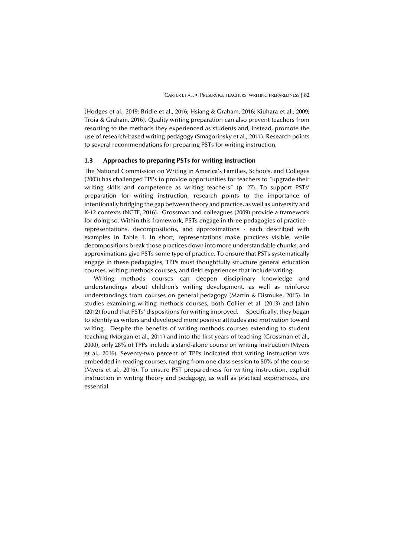(Hodges et al., 2019; Bridle et al., 2016; Hsiang & Graham, 2016; Kiuhara et al., 2009; Troia & Graham, 2016). Quality writing preparation can also prevent teachers from resorting to the methods they experienced as students and, instead, promote the use of research-based writing pedagogy (Smagorinsky et al., 2011). Research points to several recommendations for preparing PSTs for writing instruction.

# **1.3 Approaches to preparing PSTs for writing instruction**

The National Commission on Writing in America's Families, Schools, and Colleges (2003) has challenged TPPs to provide opportunities for teachers to "upgrade their writing skills and competence as writing teachers" (p. 27). To support PSTs' preparation for writing instruction, research points to the importance of intentionally bridging the gap between theory and practice, as well as university and K-12 contexts (NCTE, 2016). Grossman and colleagues (2009) provide a framework for doing so. Within this framework, PSTs engage in three pedagogies of practice representations, decompositions, and approximations - each described with examples in Table 1. In short, representations make practices visible, while decompositions break those practices down into more understandable chunks, and approximations give PSTs some type of practice. To ensure that PSTs systematically engage in these pedagogies, TPPs must thoughtfully structure general education courses, writing methods courses, and field experiences that include writing.

Writing methods courses can deepen disciplinary knowledge and understandings about children's writing development, as well as reinforce understandings from courses on general pedagogy (Martin & Dismuke, 2015). In studies examining writing methods courses, both Collier et al. (2013) and Jahin (2012) found that PSTs' dispositions for writing improved. Specifically, they began to identify as writers and developed more positive attitudes and motivation toward writing. Despite the benefits of writing methods courses extending to student teaching (Morgan et al., 2011) and into the first years of teaching (Grossman et al., 2000), only 28% of TPPs include a stand-alone course on writing instruction (Myers et al., 2016). Seventy-two percent of TPPs indicated that writing instruction was embedded in reading courses, ranging from one class session to 50% of the course (Myers et al., 2016). To ensure PST preparedness for writing instruction, explicit instruction in writing theory and pedagogy, as well as practical experiences, are essential.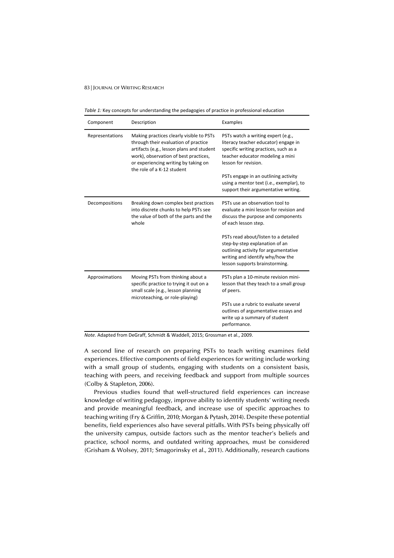*Table 1:* Key concepts for understanding the pedagogies of practice in professional education

| Component       | Description                                                                                                                                                                                                                                  | Examples                                                                                                                                                                                                                                                                                                    |
|-----------------|----------------------------------------------------------------------------------------------------------------------------------------------------------------------------------------------------------------------------------------------|-------------------------------------------------------------------------------------------------------------------------------------------------------------------------------------------------------------------------------------------------------------------------------------------------------------|
| Representations | Making practices clearly visible to PSTs<br>through their evaluation of practice<br>artifacts (e.g., lesson plans and student<br>work), observation of best practices,<br>or experiencing writing by taking on<br>the role of a K-12 student | PSTs watch a writing expert (e.g.,<br>literacy teacher educator) engage in<br>specific writing practices, such as a<br>teacher educator modeling a mini<br>lesson for revision.<br>PSTs engage in an outlining activity<br>using a mentor text (i.e., exemplar), to<br>support their argumentative writing. |
| Decompositions  | Breaking down complex best practices<br>into discrete chunks to help PSTs see<br>the value of both of the parts and the<br>whole                                                                                                             | PSTs use an observation tool to<br>evaluate a mini lesson for revision and<br>discuss the purpose and components<br>of each lesson step.                                                                                                                                                                    |
|                 |                                                                                                                                                                                                                                              | PSTs read about/listen to a detailed<br>step-by-step explanation of an<br>outlining activity for argumentative<br>writing and identify why/how the<br>lesson supports brainstorming.                                                                                                                        |
| Approximations  | Moving PSTs from thinking about a<br>specific practice to trying it out on a<br>small scale (e.g., lesson planning<br>microteaching, or role-playing)                                                                                        | PSTs plan a 10-minute revision mini-<br>lesson that they teach to a small group<br>of peers.                                                                                                                                                                                                                |
|                 |                                                                                                                                                                                                                                              | PSTs use a rubric to evaluate several<br>outlines of argumentative essays and<br>write up a summary of student<br>performance.                                                                                                                                                                              |

*Note*. Adapted from DeGraff, Schmidt & Waddell, 2015; Grossman et al., 2009.

A second line of research on preparing PSTs to teach writing examines field experiences. Effective components of field experiences for writing include working with a small group of students, engaging with students on a consistent basis, teaching with peers, and receiving feedback and support from multiple sources (Colby & Stapleton, 2006).

Previous studies found that well-structured field experiences can increase knowledge of writing pedagogy, improve ability to identify students' writing needs and provide meaningful feedback, and increase use of specific approaches to teaching writing (Fry & Griffin, 2010; Morgan & Pytash, 2014). Despite these potential benefits, field experiences also have several pitfalls. With PSTs being physically off the university campus, outside factors such as the mentor teacher's beliefs and practice, school norms, and outdated writing approaches, must be considered (Grisham & Wolsey, 2011; Smagorinsky et al., 2011). Additionally, research cautions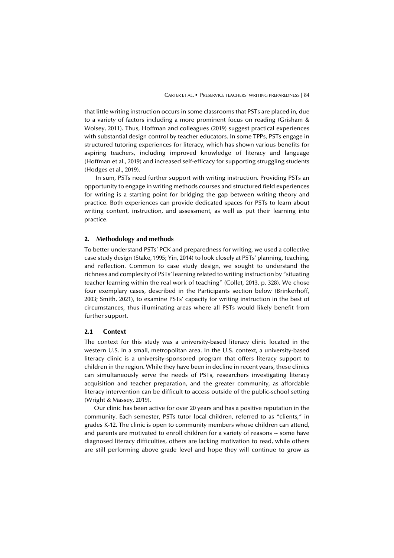that little writing instruction occurs in some classrooms that PSTs are placed in, due to a variety of factors including a more prominent focus on reading (Grisham & Wolsey, 2011). Thus, Hoffman and colleagues (2019) suggest practical experiences with substantial design control by teacher educators. In some TPPs, PSTs engage in structured tutoring experiences for literacy, which has shown various benefits for aspiring teachers, including improved knowledge of literacy and language (Hoffman et al., 2019) and increased self-efficacy for supporting struggling students (Hodges et al., 2019).

 In sum, PSTs need further support with writing instruction. Providing PSTs an opportunity to engage in writing methods courses and structured field experiences for writing is a starting point for bridging the gap between writing theory and practice. Both experiences can provide dedicated spaces for PSTs to learn about writing content, instruction, and assessment, as well as put their learning into practice.

## **2. Methodology and methods**

To better understand PSTs' PCK and preparedness for writing, we used a collective case study design (Stake, 1995; Yin, 2014) to look closely at PSTs' planning, teaching, and reflection. Common to case study design, we sought to understand the richness and complexity of PSTs' learning related to writing instruction by "situating teacher learning within the real work of teaching" (Collet, 2013, p. 328). We chose four exemplary cases, described in the Participants section below (Brinkerhoff, 2003; Smith, 2021), to examine PSTs' capacity for writing instruction in the best of circumstances, thus illuminating areas where all PSTs would likely benefit from further support.

# **2.1 Context**

The context for this study was a university-based literacy clinic located in the western U.S. in a small, metropolitan area. In the U.S. context, a university-based literacy clinic is a university-sponsored program that offers literacy support to children in the region. While they have been in decline in recent years, these clinics can simultaneously serve the needs of PSTs, researchers investigating literacy acquisition and teacher preparation, and the greater community, as affordable literacy intervention can be difficult to access outside of the public-school setting (Wright & Massey, 2019).

Our clinic has been active for over 20 years and has a positive reputation in the community. Each semester, PSTs tutor local children, referred to as "clients," in grades K-12. The clinic is open to community members whose children can attend, and parents are motivated to enroll children for a variety of reasons -- some have diagnosed literacy difficulties, others are lacking motivation to read, while others are still performing above grade level and hope they will continue to grow as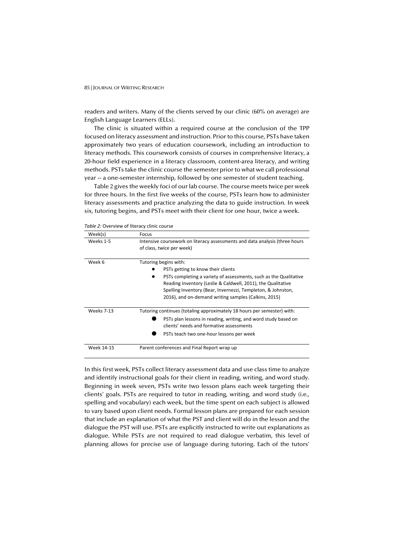readers and writers. Many of the clients served by our clinic (60% on average) are English Language Learners (ELLs).

The clinic is situated within a required course at the conclusion of the TPP focused on literacy assessment and instruction. Prior to this course, PSTs have taken approximately two years of education coursework, including an introduction to literacy methods. This coursework consists of courses in comprehensive literacy, a 20-hour field experience in a literacy classroom, content-area literacy, and writing methods. PSTs take the clinic course the semester prior to what we call professional year -- a one-semester internship, followed by one semester of student teaching.

Table 2 gives the weekly foci of our lab course. The course meets twice per week for three hours. In the first five weeks of the course, PSTs learn how to administer literacy assessments and practice analyzing the data to guide instruction. In week six, tutoring begins, and PSTs meet with their client for one hour, twice a week.

| Week(s)           | Focus                                                                                                                                                                                                                                                     |  |  |
|-------------------|-----------------------------------------------------------------------------------------------------------------------------------------------------------------------------------------------------------------------------------------------------------|--|--|
| Weeks 1-5         | Intensive coursework on literacy assessments and data analysis (three hours<br>of class, twice per week)                                                                                                                                                  |  |  |
| Week 6            | Tutoring begins with:<br>PSTs getting to know their clients                                                                                                                                                                                               |  |  |
|                   | PSTs completing a variety of assessments, such as the Qualitative<br>Reading Inventory (Leslie & Caldwell, 2011), the Qualitative<br>Spelling Inventory (Bear, Invernezzi, Templeton, & Johnston,<br>2016), and on-demand writing samples (Calkins, 2015) |  |  |
| <b>Weeks 7-13</b> | Tutoring continues (totaling approximately 18 hours per semester) with:<br>PSTs plan lessons in reading, writing, and word study based on<br>clients' needs and formative assessments<br>PSTs teach two one-hour lessons per week                         |  |  |
| Week 14-15        | Parent conferences and Final Report wrap up                                                                                                                                                                                                               |  |  |

*Table 2:* Overview of literacy clinic course

In this first week, PSTs collect literacy assessment data and use class time to analyze and identify instructional goals for their client in reading, writing, and word study. Beginning in week seven, PSTs write two lesson plans each week targeting their clients' goals. PSTs are required to tutor in reading, writing, and word study (i.e., spelling and vocabulary) each week, but the time spent on each subject is allowed to vary based upon client needs. Formal lesson plans are prepared for each session that include an explanation of what the PST and client will do in the lesson and the dialogue the PST will use. PSTs are explicitly instructed to write out explanations as dialogue. While PSTs are not required to read dialogue verbatim, this level of planning allows for precise use of language during tutoring. Each of the tutors'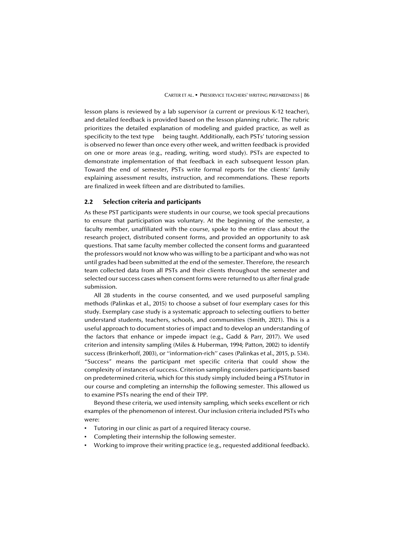lesson plans is reviewed by a lab supervisor (a current or previous K-12 teacher), and detailed feedback is provided based on the lesson planning rubric. The rubric prioritizes the detailed explanation of modeling and guided practice, as well as specificity to the text type being taught. Additionally, each PSTs' tutoring session is observed no fewer than once every other week, and written feedback is provided on one or more areas (e.g., reading, writing, word study). PSTs are expected to demonstrate implementation of that feedback in each subsequent lesson plan. Toward the end of semester, PSTs write formal reports for the clients' family explaining assessment results, instruction, and recommendations. These reports are finalized in week fifteen and are distributed to families.

# **2.2 Selection criteria and participants**

As these PST participants were students in our course, we took special precautions to ensure that participation was voluntary. At the beginning of the semester, a faculty member, unaffiliated with the course, spoke to the entire class about the research project, distributed consent forms, and provided an opportunity to ask questions. That same faculty member collected the consent forms and guaranteed the professors would not know who was willing to be a participant and who was not until grades had been submitted at the end of the semester. Therefore, the research team collected data from all PSTs and their clients throughout the semester and selected our success cases when consent forms were returned to us after final grade submission.

All 28 students in the course consented, and we used purposeful sampling methods (Palinkas et al., 2015) to choose a subset of four exemplary cases for this study. Exemplary case study is a systematic approach to selecting outliers to better understand students, teachers, schools, and communities (Smith, 2021). This is a useful approach to document stories of impact and to develop an understanding of the factors that enhance or impede impact (e.g., Gadd & Parr, 2017). We used criterion and intensity sampling (Miles & Huberman, 1994; Patton, 2002) to identify success (Brinkerhoff, 2003), or ''information-rich'' cases (Palinkas et al., 2015, p. 534). "Success" means the participant met specific criteria that could show the complexity of instances of success. Criterion sampling considers participants based on predetermined criteria, which for this study simply included being a PST/tutor in our course and completing an internship the following semester. This allowed us to examine PSTs nearing the end of their TPP.

Beyond these criteria, we used intensity sampling, which seeks excellent or rich examples of the phenomenon of interest. Our inclusion criteria included PSTs who were:

- Tutoring in our clinic as part of a required literacy course.
- Completing their internship the following semester.
- Working to improve their writing practice (e.g., requested additional feedback).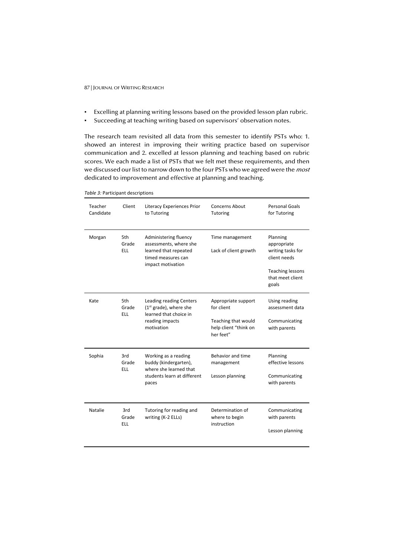- Excelling at planning writing lessons based on the provided lesson plan rubric.
- Succeeding at teaching writing based on supervisors' observation notes.

The research team revisited all data from this semester to identify PSTs who: 1. showed an interest in improving their writing practice based on supervisor communication and 2. excelled at lesson planning and teaching based on rubric scores. We each made a list of PSTs that we felt met these requirements, and then we discussed our list to narrow down to the four PSTs who we agreed were the most dedicated to improvement and effective at planning and teaching.

*Table 3:* Participant descriptions

| Teacher<br>Candidate | Client                     | <b>Literacy Experiences Prior</b><br>to Tutoring                                                                    | Concerns About<br>Tutoring                                                                     | <b>Personal Goals</b><br>for Tutoring                                                                                |
|----------------------|----------------------------|---------------------------------------------------------------------------------------------------------------------|------------------------------------------------------------------------------------------------|----------------------------------------------------------------------------------------------------------------------|
| Morgan               | 5th<br>Grade<br><b>ELL</b> | Administering fluency<br>assessments, where she<br>learned that repeated<br>timed measures can<br>impact motivation | Time management<br>Lack of client growth                                                       | Planning<br>appropriate<br>writing tasks for<br>client needs<br><b>Teaching lessons</b><br>that meet client<br>goals |
| Kate                 | 5th<br>Grade<br><b>ELL</b> | Leading reading Centers<br>$(1st grade)$ , where she<br>learned that choice in<br>reading impacts<br>motivation     | Appropriate support<br>for client<br>Teaching that would<br>help client "think on<br>her feet" | Using reading<br>assessment data<br>Communicating<br>with parents                                                    |
| Sophia               | 3rd<br>Grade<br><b>ELL</b> | Working as a reading<br>buddy (kindergarten),<br>where she learned that<br>students learn at different<br>paces     | Behavior and time<br>management<br>Lesson planning                                             | Planning<br>effective lessons<br>Communicating<br>with parents                                                       |
| Natalie              | 3rd<br>Grade<br><b>ELL</b> | Tutoring for reading and<br>writing (K-2 ELLs)                                                                      | Determination of<br>where to begin<br>instruction                                              | Communicating<br>with parents<br>Lesson planning                                                                     |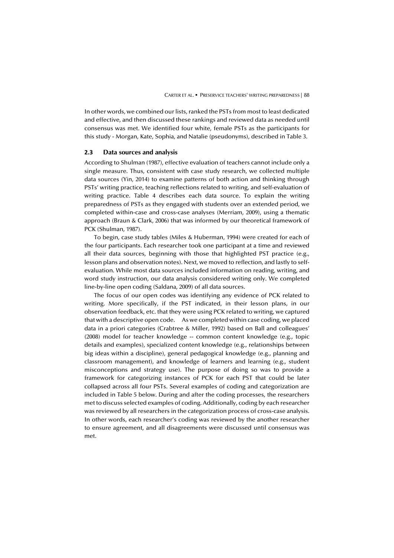In other words, we combined our lists, ranked the PSTs from most to least dedicated and effective, and then discussed these rankings and reviewed data as needed until consensus was met. We identified four white, female PSTs as the participants for this study - Morgan, Kate, Sophia, and Natalie (pseudonyms), described in Table 3.

# **2.3 Data sources and analysis**

According to Shulman (1987), effective evaluation of teachers cannot include only a single measure. Thus, consistent with case study research, we collected multiple data sources (Yin, 2014) to examine patterns of both action and thinking through PSTs' writing practice, teaching reflections related to writing, and self-evaluation of writing practice. Table 4 describes each data source. To explain the writing preparedness of PSTs as they engaged with students over an extended period, we completed within-case and cross-case analyses (Merriam, 2009), using a thematic approach (Braun & Clark, 2006) that was informed by our theoretical framework of PCK (Shulman, 1987).

To begin, case study tables (Miles & Huberman, 1994) were created for each of the four participants. Each researcher took one participant at a time and reviewed all their data sources, beginning with those that highlighted PST practice (e.g., lesson plans and observation notes). Next, we moved to reflection, and lastly to selfevaluation. While most data sources included information on reading, writing, and word study instruction, our data analysis considered writing only. We completed line-by-line open coding (Saldana, 2009) of all data sources.

The focus of our open codes was identifying any evidence of PCK related to writing. More specifically, if the PST indicated, in their lesson plans, in our observation feedback, etc. that they were using PCK related to writing, we captured that with a descriptive open code. As we completed within case coding, we placed data in a priori categories (Crabtree & Miller, 1992) based on Ball and colleagues' (2008) model for teacher knowledge -- common content knowledge (e.g., topic details and examples), specialized content knowledge (e.g., relationships between big ideas within a discipline), general pedagogical knowledge (e.g., planning and classroom management), and knowledge of learners and learning (e.g., student misconceptions and strategy use). The purpose of doing so was to provide a framework for categorizing instances of PCK for each PST that could be later collapsed across all four PSTs. Several examples of coding and categorization are included in Table 5 below. During and after the coding processes, the researchers met to discuss selected examples of coding. Additionally, coding by each researcher was reviewed by all researchers in the categorization process of cross-case analysis. In other words, each researcher's coding was reviewed by the another researcher to ensure agreement, and all disagreements were discussed until consensus was met.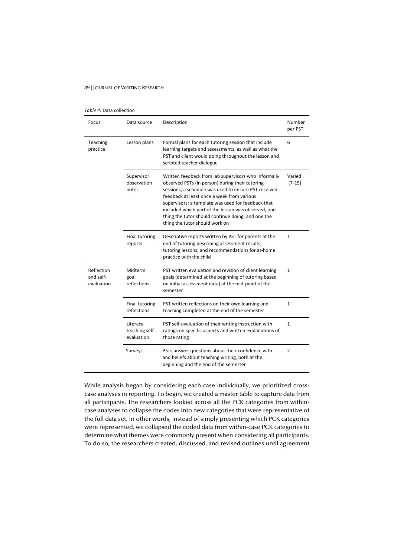#### *Table 4:* Data collection

| Focus                                 | Data source                              | Description                                                                                                                                                                                                                                                                                                                                                                                                        | Number<br>per PST  |
|---------------------------------------|------------------------------------------|--------------------------------------------------------------------------------------------------------------------------------------------------------------------------------------------------------------------------------------------------------------------------------------------------------------------------------------------------------------------------------------------------------------------|--------------------|
| Teaching<br>practice                  | Lesson plans                             | Formal plans for each tutoring session that include<br>learning targets and assessments, as well as what the<br>PST and client would doing throughout the lesson and<br>scripted teacher dialogue                                                                                                                                                                                                                  | 6                  |
|                                       | Supervisor<br>observation<br>notes       | Written feedback from lab supervisors who informally<br>observed PSTs (in person) during their tutoring<br>sessions; a schedule was used to ensure PST received<br>feedback at least once a week from various<br>supervisors; a template was used for feedback that<br>included which part of the lesson was observed, one<br>thing the tutor should continue doing, and one the<br>thing the tutor should work on | Varied<br>$(7-15)$ |
|                                       | Final tutoring<br>reports                | Descriptive reports written by PST for parents at the<br>end of tutoring describing assessment results,<br>tutoring lessons, and recommendations for at-home<br>practice with the child                                                                                                                                                                                                                            | 1                  |
| Reflection<br>and self-<br>evaluation | Midterm<br>goal<br>reflections           | PST written evaluation and revision of client learning<br>goals (determined at the beginning of tutoring based<br>on initial assessment data) at the mid-point of the<br>semester                                                                                                                                                                                                                                  | $\mathbf{1}$       |
|                                       | <b>Final tutoring</b><br>reflections     | PST written reflections on their own learning and<br>teaching completed at the end of the semester                                                                                                                                                                                                                                                                                                                 | 1                  |
|                                       | Literacy<br>teaching self-<br>evaluation | PST self-evaluation of their writing instruction with<br>ratings on specific aspects and written explanations of<br>those rating                                                                                                                                                                                                                                                                                   | $\mathbf{1}$       |
|                                       | Surveys                                  | PSTs answer questions about their confidence with<br>and beliefs about teaching writing, both at the<br>beginning and the end of the semester                                                                                                                                                                                                                                                                      | 2                  |

While analysis began by considering each case individually, we prioritized crosscase analyses in reporting. To begin, we created a master table to capture data from all participants. The researchers looked across all the PCK categories from withincase analyses to collapse the codes into new categories that were representative of the full data set. In other words, instead of simply presenting which PCK categories were represented, we collapsed the coded data from within-case PCK categories to determine what themes were commonly present when considering all participants. To do so, the researchers created, discussed, and revised outlines until agreement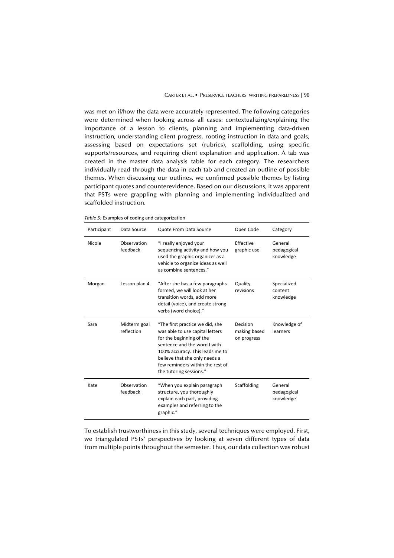was met on if/how the data were accurately represented. The following categories were determined when looking across all cases: contextualizing/explaining the importance of a lesson to clients, planning and implementing data-driven instruction, understanding client progress, rooting instruction in data and goals, assessing based on expectations set (rubrics), scaffolding, using specific supports/resources, and requiring client explanation and application. A tab was created in the master data analysis table for each category. The researchers individually read through the data in each tab and created an outline of possible themes. When discussing our outlines, we confirmed possible themes by listing participant quotes and counterevidence. Based on our discussions, it was apparent that PSTs were grappling with planning and implementing individualized and scaffolded instruction.

*Table 5:* Examples of coding and categorization

| Participant | Data Source                | Quote From Data Source                                                                                                                                                                                                                                            | Open Code                               | Category                            |
|-------------|----------------------------|-------------------------------------------------------------------------------------------------------------------------------------------------------------------------------------------------------------------------------------------------------------------|-----------------------------------------|-------------------------------------|
| Nicole      | Observation<br>feedback    | "I really enjoyed your<br>sequencing activity and how you<br>used the graphic organizer as a<br>vehicle to organize ideas as well<br>as combine sentences."                                                                                                       | Effective<br>graphic use                | General<br>pedagogical<br>knowledge |
| Morgan      | Lesson plan 4              | "After she has a few paragraphs<br>formed, we will look at her<br>transition words, add more<br>detail (voice), and create strong<br>verbs (word choice)."                                                                                                        | Quality<br>revisions                    | Specialized<br>content<br>knowledge |
| Sara        | Midterm goal<br>reflection | "The first practice we did, she<br>was able to use capital letters<br>for the beginning of the<br>sentence and the word I with<br>100% accuracy. This leads me to<br>believe that she only needs a<br>few reminders within the rest of<br>the tutoring sessions." | Decision<br>making based<br>on progress | Knowledge of<br>learners            |
| Kate        | Observation<br>feedback    | "When you explain paragraph<br>structure, you thoroughly<br>explain each part, providing<br>examples and referring to the<br>graphic."                                                                                                                            | Scaffolding                             | General<br>pedagogical<br>knowledge |

To establish trustworthiness in this study, several techniques were employed. First, we triangulated PSTs' perspectives by looking at seven different types of data from multiple points throughout the semester. Thus, our data collection was robust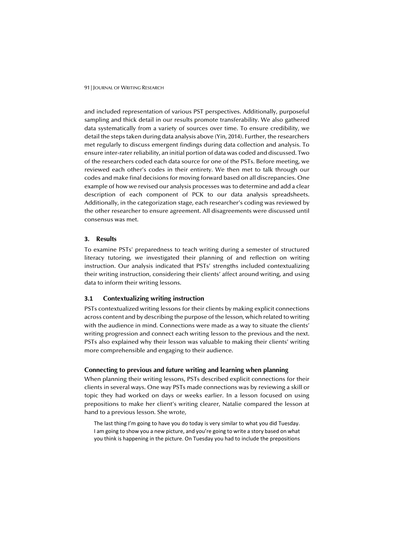and included representation of various PST perspectives. Additionally, purposeful sampling and thick detail in our results promote transferability. We also gathered data systematically from a variety of sources over time. To ensure credibility, we detail the steps taken during data analysis above (Yin, 2014). Further, the researchers met regularly to discuss emergent findings during data collection and analysis. To ensure inter-rater reliability, an initial portion of data was coded and discussed. Two of the researchers coded each data source for one of the PSTs. Before meeting, we reviewed each other's codes in their entirety. We then met to talk through our codes and make final decisions for moving forward based on all discrepancies. One example of how we revised our analysis processes was to determine and add a clear description of each component of PCK to our data analysis spreadsheets. Additionally, in the categorization stage, each researcher's coding was reviewed by the other researcher to ensure agreement. All disagreements were discussed until consensus was met.

## **3. Results**

To examine PSTs' preparedness to teach writing during a semester of structured literacy tutoring, we investigated their planning of and reflection on writing instruction. Our analysis indicated that PSTs' strengths included contextualizing their writing instruction, considering their clients' affect around writing, and using data to inform their writing lessons.

# **3.1 Contextualizing writing instruction**

PSTs contextualized writing lessons for their clients by making explicit connections across content and by describing the purpose of the lesson, which related to writing with the audience in mind. Connections were made as a way to situate the clients' writing progression and connect each writing lesson to the previous and the next. PSTs also explained why their lesson was valuable to making their clients' writing more comprehensible and engaging to their audience.

# **Connecting to previous and future writing and learning when planning**

When planning their writing lessons, PSTs described explicit connections for their clients in several ways. One way PSTs made connections was by reviewing a skill or topic they had worked on days or weeks earlier. In a lesson focused on using prepositions to make her client's writing clearer, Natalie compared the lesson at hand to a previous lesson. She wrote,

The last thing I'm going to have you do today is very similar to what you did Tuesday. I am going to show you a new picture, and you're going to write a story based on what you think is happening in the picture. On Tuesday you had to include the prepositions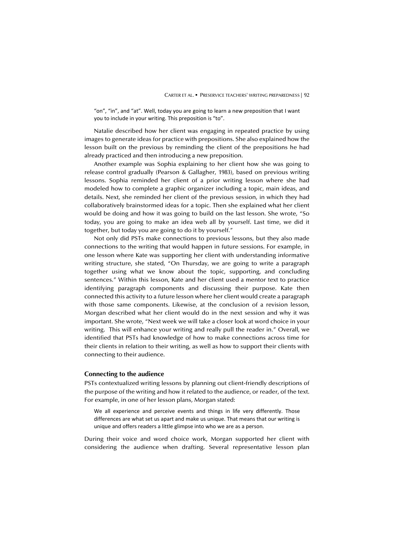"on", "in", and "at". Well, today you are going to learn a new preposition that I want you to include in your writing. This preposition is "to".

Natalie described how her client was engaging in repeated practice by using images to generate ideas for practice with prepositions. She also explained how the lesson built on the previous by reminding the client of the prepositions he had already practiced and then introducing a new preposition.

Another example was Sophia explaining to her client how she was going to release control gradually (Pearson & Gallagher, 1983), based on previous writing lessons. Sophia reminded her client of a prior writing lesson where she had modeled how to complete a graphic organizer including a topic, main ideas, and details. Next, she reminded her client of the previous session, in which they had collaboratively brainstormed ideas for a topic. Then she explained what her client would be doing and how it was going to build on the last lesson. She wrote, "So today, you are going to make an idea web all by yourself. Last time, we did it together, but today you are going to do it by yourself."

Not only did PSTs make connections to previous lessons, but they also made connections to the writing that would happen in future sessions. For example, in one lesson where Kate was supporting her client with understanding informative writing structure, she stated, "On Thursday, we are going to write a paragraph together using what we know about the topic, supporting, and concluding sentences." Within this lesson, Kate and her client used a mentor text to practice identifying paragraph components and discussing their purpose. Kate then connected this activity to a future lesson where her client would create a paragraph with those same components. Likewise, at the conclusion of a revision lesson, Morgan described what her client would do in the next session and why it was important. She wrote, "Next week we will take a closer look at word choice in your writing. This will enhance your writing and really pull the reader in." Overall, we identified that PSTs had knowledge of how to make connections across time for their clients in relation to their writing, as well as how to support their clients with connecting to their audience.

#### **Connecting to the audience**

PSTs contextualized writing lessons by planning out client-friendly descriptions of the purpose of the writing and how it related to the audience, or reader, of the text. For example, in one of her lesson plans, Morgan stated:

We all experience and perceive events and things in life very differently. Those differences are what set us apart and make us unique. That means that our writing is unique and offers readers a little glimpse into who we are as a person.

During their voice and word choice work, Morgan supported her client with considering the audience when drafting. Several representative lesson plan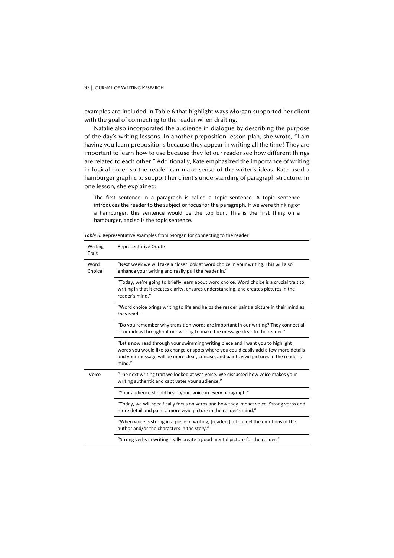examples are included in Table 6 that highlight ways Morgan supported her client with the goal of connecting to the reader when drafting.

Natalie also incorporated the audience in dialogue by describing the purpose of the day's writing lessons. In another preposition lesson plan, she wrote, "I am having you learn prepositions because they appear in writing all the time! They are important to learn how to use because they let our reader see how different things are related to each other." Additionally, Kate emphasized the importance of writing in logical order so the reader can make sense of the writer's ideas. Kate used a hamburger graphic to support her client's understanding of paragraph structure. In one lesson, she explained:

The first sentence in a paragraph is called a topic sentence. A topic sentence introduces the reader to the subject or focus for the paragraph. If we were thinking of a hamburger, this sentence would be the top bun. This is the first thing on a hamburger, and so is the topic sentence.

| Writing<br>Trait | <b>Representative Quote</b>                                                                                                                                                                                                                                                   |  |  |
|------------------|-------------------------------------------------------------------------------------------------------------------------------------------------------------------------------------------------------------------------------------------------------------------------------|--|--|
| Word<br>Choice   | "Next week we will take a closer look at word choice in your writing. This will also<br>enhance your writing and really pull the reader in."                                                                                                                                  |  |  |
|                  | "Today, we're going to briefly learn about word choice. Word choice is a crucial trait to<br>writing in that it creates clarity, ensures understanding, and creates pictures in the<br>reader's mind."                                                                        |  |  |
|                  | "Word choice brings writing to life and helps the reader paint a picture in their mind as<br>they read."                                                                                                                                                                      |  |  |
|                  | "Do you remember why transition words are important in our writing? They connect all<br>of our ideas throughout our writing to make the message clear to the reader."                                                                                                         |  |  |
|                  | "Let's now read through your swimming writing piece and I want you to highlight<br>words you would like to change or spots where you could easily add a few more details<br>and your message will be more clear, concise, and paints vivid pictures in the reader's<br>mind." |  |  |
| Voice            | "The next writing trait we looked at was voice. We discussed how voice makes your<br>writing authentic and captivates your audience."                                                                                                                                         |  |  |
|                  | "Your audience should hear [your] voice in every paragraph."                                                                                                                                                                                                                  |  |  |
|                  | "Today, we will specifically focus on verbs and how they impact voice. Strong verbs add<br>more detail and paint a more vivid picture in the reader's mind."                                                                                                                  |  |  |
|                  | "When voice is strong in a piece of writing, [readers] often feel the emotions of the<br>author and/or the characters in the story."                                                                                                                                          |  |  |
|                  | "Strong verbs in writing really create a good mental picture for the reader."                                                                                                                                                                                                 |  |  |

*Table 6:* Representative examples from Morgan for connecting to the reader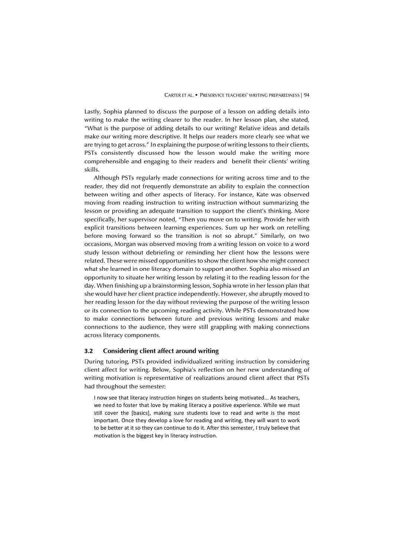Lastly, Sophia planned to discuss the purpose of a lesson on adding details into writing to make the writing clearer to the reader. In her lesson plan, she stated, "What is the purpose of adding details to our writing? Relative ideas and details make our writing more descriptive. It helps our readers more clearly see what we are trying to get across." In explaining the purpose of writing lessons to their clients, PSTs consistently discussed how the lesson would make the writing more comprehensible and engaging to their readers and benefit their clients' writing skills.

Although PSTs regularly made connections for writing across time and to the reader, they did not frequently demonstrate an ability to explain the connection between writing and other aspects of literacy. For instance, Kate was observed moving from reading instruction to writing instruction without summarizing the lesson or providing an adequate transition to support the client's thinking. More specifically, her supervisor noted, "Then you move on to writing. Provide her with explicit transitions between learning experiences. Sum up her work on retelling before moving forward so the transition is not so abrupt." Similarly, on two occasions, Morgan was observed moving from a writing lesson on voice to a word study lesson without debriefing or reminding her client how the lessons were related. These were missed opportunities to show the client how she might connect what she learned in one literacy domain to support another. Sophia also missed an opportunity to situate her writing lesson by relating it to the reading lesson for the day. When finishing up a brainstorming lesson, Sophia wrote in her lesson plan that she would have her client practice independently. However, she abruptly moved to her reading lesson for the day without reviewing the purpose of the writing lesson or its connection to the upcoming reading activity. While PSTs demonstrated how to make connections between future and previous writing lessons and make connections to the audience, they were still grappling with making connections across literacy components.

# **3.2 Considering client affect around writing**

During tutoring, PSTs provided individualized writing instruction by considering client affect for writing. Below, Sophia's reflection on her new understanding of writing motivation is representative of realizations around client affect that PSTs had throughout the semester:

I now see that literacy instruction hinges on students being motivated... As teachers, we need to foster that love by making literacy a positive experience. While we must still cover the [basics], making sure students love to read and write is the most important. Once they develop a love for reading and writing, they will want to work to be better at it so they can continue to do it. After this semester, I truly believe that motivation is the biggest key in literacy instruction.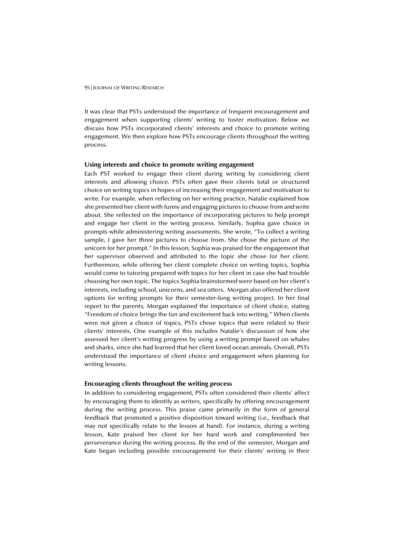It was clear that PSTs understood the importance of frequent encouragement and engagement when supporting clients' writing to foster motivation. Below we discuss how PSTs incorporated clients' interests and choice to promote writing engagement. We then explore how PSTs encourage clients throughout the writing process.

# **Using interests and choice to promote writing engagement**

Each PST worked to engage their client during writing by considering client interests and allowing choice. PSTs often gave their clients total or structured choice on writing topics in hopes of increasing their engagement and motivation to write. For example, when reflecting on her writing practice, Natalie explained how she presented her client with funny and engaging pictures to choose from and write about. She reflected on the importance of incorporating pictures to help prompt and engage her client in the writing process. Similarly, Sophia gave choice in prompts while administering writing assessments. She wrote, "To collect a writing sample, I gave her three pictures to choose from. She chose the picture of the unicorn for her prompt." In this lesson, Sophia was praised for the engagement that her supervisor observed and attributed to the topic she chose for her client. Furthermore, while offering her client complete choice on writing topics, Sophia would come to tutoring prepared with topics for her client in case she had trouble choosing her own topic. The topics Sophia brainstormed were based on her client's interests, including school, unicorns, and sea otters. Morgan also offered her client options for writing prompts for their semester-long writing project. In her final report to the parents, Morgan explained the importance of client choice, stating "Freedom of choice brings the fun and excitement back into writing." When clients were not given a choice of topics, PSTs chose topics that were related to their clients' interests. One example of this includes Natalie's discussion of how she assessed her client's writing progress by using a writing prompt based on whales and sharks, since she had learned that her client loved ocean animals. Overall, PSTs understood the importance of client choice and engagement when planning for writing lessons.

# **Encouraging clients throughout the writing process**

In addition to considering engagement, PSTs often considered their clients' affect by encouraging them to identify as writers, specifically by offering encouragement during the writing process. This praise came primarily in the form of general feedback that promoted a positive disposition toward writing (i.e., feedback that may not specifically relate to the lesson at hand). For instance, during a writing lesson, Kate praised her client for her hard work and complimented her perseverance during the writing process. By the end of the semester, Morgan and Kate began including possible encouragement for their clients' writing in their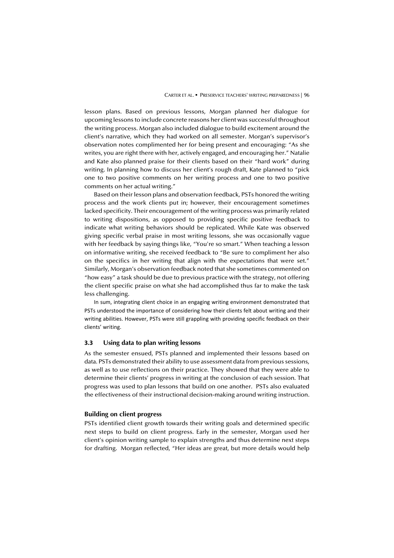lesson plans. Based on previous lessons, Morgan planned her dialogue for upcoming lessons to include concrete reasons her client was successful throughout the writing process. Morgan also included dialogue to build excitement around the client's narrative, which they had worked on all semester. Morgan's supervisor's observation notes complimented her for being present and encouraging: "As she writes, you are right there with her, actively engaged, and encouraging her." Natalie and Kate also planned praise for their clients based on their "hard work" during writing. In planning how to discuss her client's rough draft, Kate planned to "pick one to two positive comments on her writing process and one to two positive comments on her actual writing."

Based on their lesson plans and observation feedback, PSTs honored the writing process and the work clients put in; however, their encouragement sometimes lacked specificity. Their encouragement of the writing process was primarily related to writing dispositions, as opposed to providing specific positive feedback to indicate what writing behaviors should be replicated. While Kate was observed giving specific verbal praise in most writing lessons, she was occasionally vague with her feedback by saying things like, "You're so smart." When teaching a lesson on informative writing, she received feedback to "Be sure to compliment her also on the specifics in her writing that align with the expectations that were set." Similarly, Morgan's observation feedback noted that she sometimes commented on "how easy" a task should be due to previous practice with the strategy, not offering the client specific praise on what she had accomplished thus far to make the task less challenging.

In sum, integrating client choice in an engaging writing environment demonstrated that PSTs understood the importance of considering how their clients felt about writing and their writing abilities. However, PSTs were still grappling with providing specific feedback on their clients' writing.

# **3.3 Using data to plan writing lessons**

As the semester ensued, PSTs planned and implemented their lessons based on data. PSTs demonstrated their ability to use assessment data from previous sessions, as well as to use reflections on their practice. They showed that they were able to determine their clients' progress in writing at the conclusion of each session. That progress was used to plan lessons that build on one another. PSTs also evaluated the effectiveness of their instructional decision-making around writing instruction.

#### **Building on client progress**

PSTs identified client growth towards their writing goals and determined specific next steps to build on client progress. Early in the semester, Morgan used her client's opinion writing sample to explain strengths and thus determine next steps for drafting. Morgan reflected, "Her ideas are great, but more details would help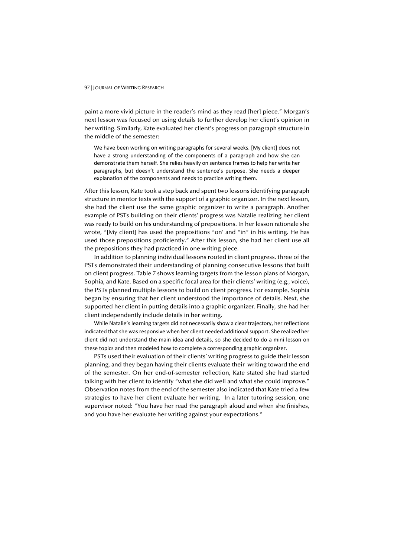paint a more vivid picture in the reader's mind as they read [her] piece." Morgan's next lesson was focused on using details to further develop her client's opinion in her writing. Similarly, Kate evaluated her client's progress on paragraph structure in the middle of the semester:

We have been working on writing paragraphs for several weeks. [My client] does not have a strong understanding of the components of a paragraph and how she can demonstrate them herself. She relies heavily on sentence frames to help her write her paragraphs, but doesn't understand the sentence's purpose. She needs a deeper explanation of the components and needs to practice writing them.

After this lesson, Kate took a step back and spent two lessons identifying paragraph structure in mentor texts with the support of a graphic organizer. In the next lesson, she had the client use the same graphic organizer to write a paragraph. Another example of PSTs building on their clients' progress was Natalie realizing her client was ready to build on his understanding of prepositions. In her lesson rationale she wrote, "[My client] has used the prepositions "on' and "in" in his writing. He has used those prepositions proficiently." After this lesson, she had her client use all the prepositions they had practiced in one writing piece.

In addition to planning individual lessons rooted in client progress, three of the PSTs demonstrated their understanding of planning consecutive lessons that built on client progress. Table 7 shows learning targets from the lesson plans of Morgan, Sophia, and Kate. Based on a specific focal area for their clients' writing (e.g., voice), the PSTs planned multiple lessons to build on client progress. For example, Sophia began by ensuring that her client understood the importance of details. Next, she supported her client in putting details into a graphic organizer. Finally, she had her client independently include details in her writing.

While Natalie's learning targets did not necessarily show a clear trajectory, her reflections indicated that she was responsive when her client needed additional support. She realized her client did not understand the main idea and details, so she decided to do a mini lesson on these topics and then modeled how to complete a corresponding graphic organizer.

PSTs used their evaluation of their clients' writing progress to guide their lesson planning, and they began having their clients evaluate their writing toward the end of the semester. On her end-of-semester reflection, Kate stated she had started talking with her client to identify "what she did well and what she could improve." Observation notes from the end of the semester also indicated that Kate tried a few strategies to have her client evaluate her writing. In a later tutoring session, one supervisor noted: "You have her read the paragraph aloud and when she finishes, and you have her evaluate her writing against your expectations."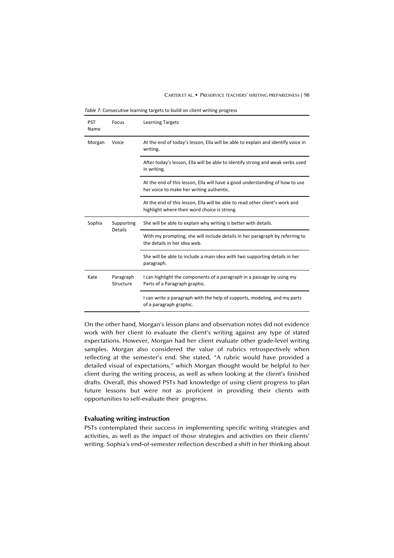#### CARTER ET AL. ▪ PRESERVICE TEACHERS' WRITING PREPAREDNESS | 98

*Table 7:* Consecutive learning targets to build on client writing progress

| <b>PST</b><br>Name | Focus                  | <b>Learning Targets</b>                                                                                                      |  |
|--------------------|------------------------|------------------------------------------------------------------------------------------------------------------------------|--|
| Morgan             | Voice                  | At the end of today's lesson, Ella will be able to explain and identify voice in<br>writing.                                 |  |
|                    |                        | After today's lesson, Ella will be able to identify strong and weak verbs used<br>in writing.                                |  |
|                    |                        | At the end of this lesson, Ella will have a good understanding of how to use<br>her voice to make her writing authentic.     |  |
|                    |                        | At the end of this lesson, Ella will be able to read other client's work and<br>highlight where their word choice is strong. |  |
| Sophia             | Supporting<br>Details  | She will be able to explain why writing is better with details.                                                              |  |
|                    |                        | With my prompting, she will include details in her paragraph by referring to<br>the details in her idea web.                 |  |
|                    |                        | She will be able to include a main idea with two supporting details in her<br>paragraph.                                     |  |
| Kate               | Paragraph<br>Structure | I can highlight the components of a paragraph in a passage by using my<br>Parts of a Paragraph graphic.                      |  |
|                    |                        | I can write a paragraph with the help of supports, modeling, and my parts<br>of a paragraph graphic.                         |  |

On the other hand, Morgan's lesson plans and observation notes did not evidence work with her client to evaluate the client's writing against any type of stated expectations. However, Morgan had her client evaluate other grade-level writing samples. Morgan also considered the value of rubrics retrospectively when reflecting at the semester's end. She stated, "A rubric would have provided a detailed visual of expectations," which Morgan thought would be helpful to her client during the writing process, as well as when looking at the client's finished drafts. Overall, this showed PSTs had knowledge of using client progress to plan future lessons but were not as proficient in providing their clients with opportunities to self-evaluate their progress.

# **Evaluating writing instruction**

PSTs contemplated their success in implementing specific writing strategies and activities, as well as the impact of those strategies and activities on their clients' writing. Sophia's end-of-semester reflection described a shift in her thinking about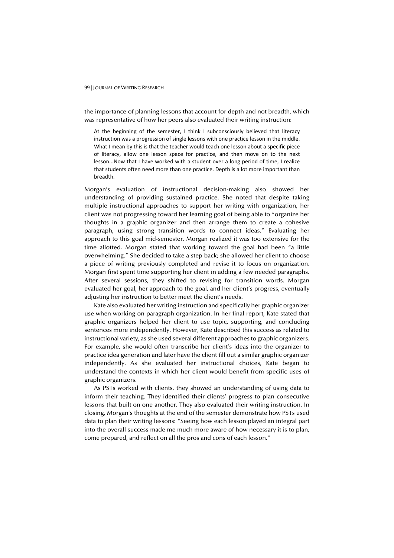the importance of planning lessons that account for depth and not breadth, which was representative of how her peers also evaluated their writing instruction:

At the beginning of the semester, I think I subconsciously believed that literacy instruction was a progression of single lessons with one practice lesson in the middle. What I mean by this is that the teacher would teach one lesson about a specific piece of literacy, allow one lesson space for practice, and then move on to the next lesson...Now that I have worked with a student over a long period of time, I realize that students often need more than one practice. Depth is a lot more important than breadth.

Morgan's evaluation of instructional decision-making also showed her understanding of providing sustained practice. She noted that despite taking multiple instructional approaches to support her writing with organization, her client was not progressing toward her learning goal of being able to "organize her thoughts in a graphic organizer and then arrange them to create a cohesive paragraph, using strong transition words to connect ideas." Evaluating her approach to this goal mid-semester, Morgan realized it was too extensive for the time allotted. Morgan stated that working toward the goal had been "a little overwhelming." She decided to take a step back; she allowed her client to choose a piece of writing previously completed and revise it to focus on organization. Morgan first spent time supporting her client in adding a few needed paragraphs. After several sessions, they shifted to revising for transition words. Morgan evaluated her goal, her approach to the goal, and her client's progress, eventually adjusting her instruction to better meet the client's needs.

Kate also evaluated her writing instruction and specifically her graphic organizer use when working on paragraph organization. In her final report, Kate stated that graphic organizers helped her client to use topic, supporting, and concluding sentences more independently. However, Kate described this success as related to instructional variety, as she used several different approaches to graphic organizers. For example, she would often transcribe her client's ideas into the organizer to practice idea generation and later have the client fill out a similar graphic organizer independently. As she evaluated her instructional choices, Kate began to understand the contexts in which her client would benefit from specific uses of graphic organizers.

As PSTs worked with clients, they showed an understanding of using data to inform their teaching. They identified their clients' progress to plan consecutive lessons that built on one another. They also evaluated their writing instruction. In closing, Morgan's thoughts at the end of the semester demonstrate how PSTs used data to plan their writing lessons: "Seeing how each lesson played an integral part into the overall success made me much more aware of how necessary it is to plan, come prepared, and reflect on all the pros and cons of each lesson."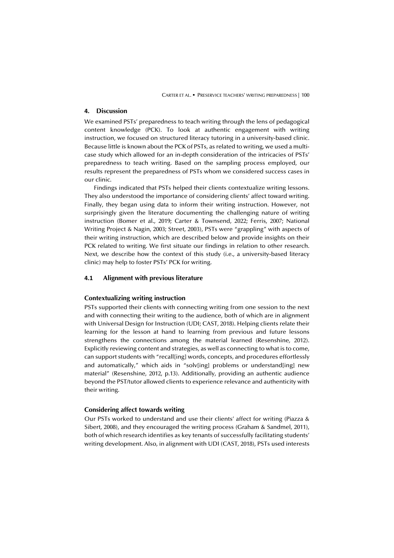CARTER ET AL. ▪ PRESERVICE TEACHERS' WRITING PREPAREDNESS | 100

# **4. Discussion**

We examined PSTs' preparedness to teach writing through the lens of pedagogical content knowledge (PCK). To look at authentic engagement with writing instruction, we focused on structured literacy tutoring in a university-based clinic. Because little is known about the PCK of PSTs, as related to writing, we used a multicase study which allowed for an in-depth consideration of the intricacies of PSTs' preparedness to teach writing. Based on the sampling process employed, our results represent the preparedness of PSTs whom we considered success cases in our clinic.

Findings indicated that PSTs helped their clients contextualize writing lessons. They also understood the importance of considering clients' affect toward writing. Finally, they began using data to inform their writing instruction. However, not surprisingly given the literature documenting the challenging nature of writing instruction (Bomer et al., 2019; Carter & Townsend, 2022; Ferris, 2007; National Writing Project & Nagin, 2003; Street, 2003), PSTs were "grappling" with aspects of their writing instruction, which are described below and provide insights on their PCK related to writing. We first situate our findings in relation to other research. Next, we describe how the context of this study (i.e., a university-based literacy clinic) may help to foster PSTs' PCK for writing.

# **4.1 Alignment with previous literature**

## **Contextualizing writing instruction**

PSTs supported their clients with connecting writing from one session to the next and with connecting their writing to the audience, both of which are in alignment with Universal Design for Instruction (UDI; CAST, 2018). Helping clients relate their learning for the lesson at hand to learning from previous and future lessons strengthens the connections among the material learned (Resenshine, 2012). Explicitly reviewing content and strategies, as well as connecting to what is to come, can support students with "recall[ing] words, concepts, and procedures effortlessly and automatically," which aids in "solv[ing] problems or understand[ing] new material" (Resenshine, 2012, p.13). Additionally, providing an authentic audience beyond the PST/tutor allowed clients to experience relevance and authenticity with their writing.

# **Considering affect towards writing**

Our PSTs worked to understand and use their clients' affect for writing (Piazza & Sibert, 2008), and they encouraged the writing process (Graham & Sandmel, 2011), both of which research identifies as key tenants of successfully facilitating students' writing development. Also, in alignment with UDI (CAST, 2018), PSTs used interests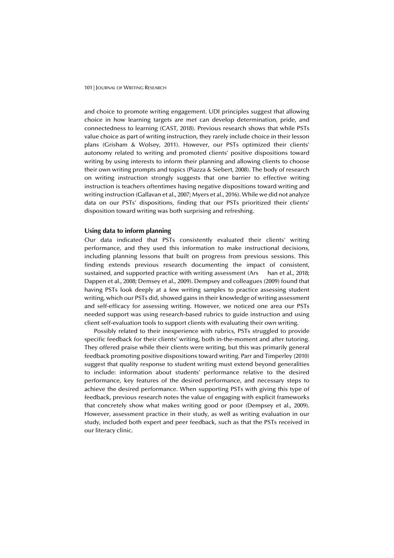and choice to promote writing engagement. UDI principles suggest that allowing choice in how learning targets are met can develop determination, pride, and connectedness to learning (CAST, 2018). Previous research shows that while PSTs value choice as part of writing instruction, they rarely include choice in their lesson plans (Grisham & Wolsey, 2011). However, our PSTs optimized their clients' autonomy related to writing and promoted clients' positive dispositions toward writing by using interests to inform their planning and allowing clients to choose their own writing prompts and topics (Piazza & Siebert, 2008). The body of research on writing instruction strongly suggests that one barrier to effective writing instruction is teachers oftentimes having negative dispositions toward writing and writing instruction (Gallavan et al., 2007; Myers et al., 2016). While we did not analyze data on our PSTs' dispositions, finding that our PSTs prioritized their clients' disposition toward writing was both surprising and refreshing.

# **Using data to inform planning**

Our data indicated that PSTs consistently evaluated their clients' writing performance, and they used this information to make instructional decisions, including planning lessons that built on progress from previous sessions. This finding extends previous research documenting the impact of consistent, sustained, and supported practice with writing assessment (Ars han et al., 2018; Dappen et al., 2008; Demsey et al., 2009). Dempsey and colleagues (2009) found that having PSTs look deeply at a few writing samples to practice assessing student writing, which our PSTs did, showed gains in their knowledge of writing assessment and self-efficacy for assessing writing. However, we noticed one area our PSTs needed support was using research-based rubrics to guide instruction and using client self-evaluation tools to support clients with evaluating their own writing.

Possibly related to their inexperience with rubrics, PSTs struggled to provide specific feedback for their clients' writing, both in-the-moment and after tutoring. They offered praise while their clients were writing, but this was primarily general feedback promoting positive dispositions toward writing. Parr and Timperley (2010) suggest that quality response to student writing must extend beyond generalities to include: information about students' performance relative to the desired performance, key features of the desired performance, and necessary steps to achieve the desired performance. When supporting PSTs with giving this type of feedback, previous research notes the value of engaging with explicit frameworks that concretely show what makes writing good or poor (Dempsey et al., 2009). However, assessment practice in their study, as well as writing evaluation in our study, included both expert and peer feedback, such as that the PSTs received in our literacy clinic.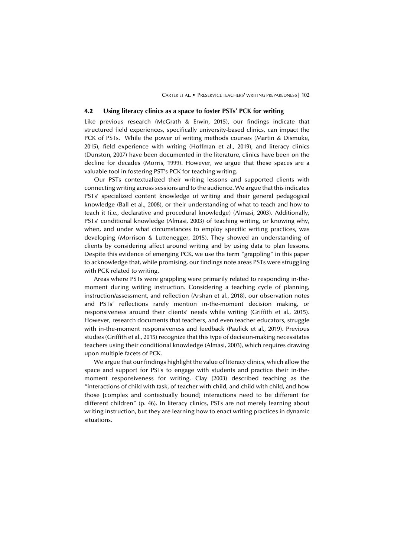CARTER ET AL. ▪ PRESERVICE TEACHERS' WRITING PREPAREDNESS | 102

# **4.2 Using literacy clinics as a space to foster PSTs' PCK for writing**

Like previous research (McGrath & Erwin, 2015), our findings indicate that structured field experiences, specifically university-based clinics, can impact the PCK of PSTs. While the power of writing methods courses (Martin & Dismuke, 2015), field experience with writing (Hoffman et al., 2019), and literacy clinics (Dunston, 2007) have been documented in the literature, clinics have been on the decline for decades (Morris, 1999). However, we argue that these spaces are a valuable tool in fostering PST's PCK for teaching writing.

Our PSTs contextualized their writing lessons and supported clients with connecting writing across sessions and to the audience. We argue that this indicates PSTs' specialized content knowledge of writing and their general pedagogical knowledge (Ball et al., 2008), or their understanding of what to teach and how to teach it (i.e., declarative and procedural knowledge) (Almasi, 2003). Additionally, PSTs' conditional knowledge (Almasi, 2003) of teaching writing, or knowing why, when, and under what circumstances to employ specific writing practices, was developing (Morrison & Luttenegger, 2015). They showed an understanding of clients by considering affect around writing and by using data to plan lessons. Despite this evidence of emerging PCK, we use the term "grappling" in this paper to acknowledge that, while promising, our findings note areas PSTs were struggling with PCK related to writing.

Areas where PSTs were grappling were primarily related to responding in-themoment during writing instruction. Considering a teaching cycle of planning, instruction/assessment, and reflection (Arshan et al., 2018), our observation notes and PSTs' reflections rarely mention in-the-moment decision making, or responsiveness around their clients' needs while writing (Griffith et al., 2015). However, research documents that teachers, and even teacher educators, struggle with in-the-moment responsiveness and feedback (Paulick et al., 2019). Previous studies (Griffith et al., 2015) recognize that this type of decision-making necessitates teachers using their conditional knowledge (Almasi, 2003), which requires drawing upon multiple facets of PCK.

We argue that our findings highlight the value of literacy clinics, which allow the space and support for PSTs to engage with students and practice their in-themoment responsiveness for writing. Clay (2003) described teaching as the "interactions of child with task, of teacher with child, and child with child, and how those [complex and contextually bound] interactions need to be different for different children" (p. 46). In literacy clinics, PSTs are not merely learning about writing instruction, but they are learning how to enact writing practices in dynamic situations.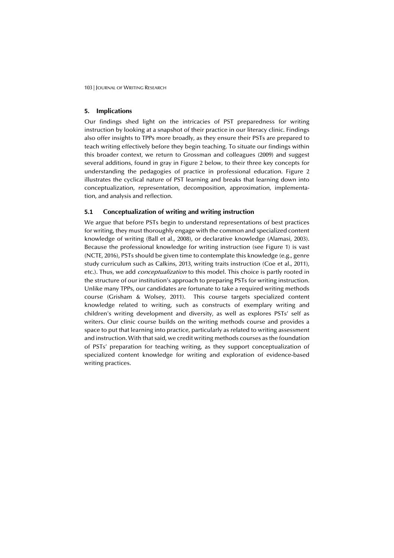# **5. Implications**

Our findings shed light on the intricacies of PST preparedness for writing instruction by looking at a snapshot of their practice in our literacy clinic. Findings also offer insights to TPPs more broadly, as they ensure their PSTs are prepared to teach writing effectively before they begin teaching. To situate our findings within this broader context, we return to Grossman and colleagues (2009) and suggest several additions, found in gray in Figure 2 below, to their three key concepts for understanding the pedagogies of practice in professional education. Figure 2 illustrates the cyclical nature of PST learning and breaks that learning down into conceptualization, representation, decomposition, approximation, implementation, and analysis and reflection.

# **5.1 Conceptualization of writing and writing instruction**

We argue that before PSTs begin to understand representations of best practices for writing, they must thoroughly engage with the common and specialized content knowledge of writing (Ball et al., 2008), or declarative knowledge (Alamasi, 2003). Because the professional knowledge for writing instruction (see Figure 1) is vast (NCTE, 2016), PSTs should be given time to contemplate this knowledge (e.g., genre study curriculum such as Calkins, 2013, writing traits instruction (Coe et al., 2011), etc.). Thus, we add *conceptualization* to this model. This choice is partly rooted in the structure of our institution's approach to preparing PSTs for writing instruction. Unlike many TPPs, our candidates are fortunate to take a required writing methods course (Grisham & Wolsey, 2011). This course targets specialized content knowledge related to writing, such as constructs of exemplary writing and children's writing development and diversity, as well as explores PSTs' self as writers. Our clinic course builds on the writing methods course and provides a space to put that learning into practice, particularly as related to writing assessment and instruction. With that said, we credit writing methods courses as the foundation of PSTs' preparation for teaching writing, as they support conceptualization of specialized content knowledge for writing and exploration of evidence-based writing practices.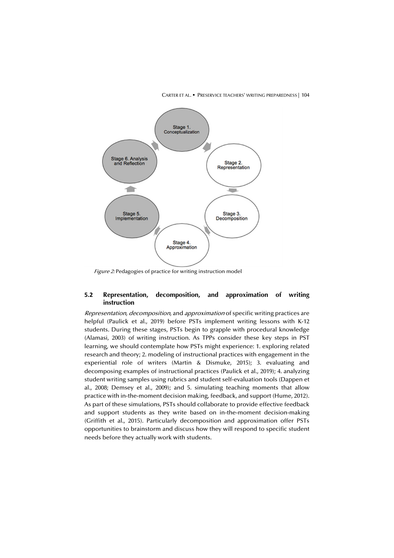

CARTER ET AL. ▪ PRESERVICE TEACHERS' WRITING PREPAREDNESS | 104

Figure 2: Pedagogies of practice for writing instruction model

# **5.2 Representation, decomposition, and approximation of writing instruction**

Representation, decomposition, and approximation of specific writing practices are helpful (Paulick et al., 2019) before PSTs implement writing lessons with K-12 students. During these stages, PSTs begin to grapple with procedural knowledge (Alamasi, 2003) of writing instruction. As TPPs consider these key steps in PST learning, we should contemplate how PSTs might experience: 1. exploring related research and theory; 2. modeling of instructional practices with engagement in the experiential role of writers (Martin & Dismuke, 2015); 3. evaluating and decomposing examples of instructional practices (Paulick et al., 2019); 4. analyzing student writing samples using rubrics and student self-evaluation tools (Dappen et al., 2008; Demsey et al., 2009); and 5. simulating teaching moments that allow practice with in-the-moment decision making, feedback, and support (Hume, 2012). As part of these simulations, PSTs should collaborate to provide effective feedback and support students as they write based on in-the-moment decision-making (Griffith et al., 2015). Particularly decomposition and approximation offer PSTs opportunities to brainstorm and discuss how they will respond to specific student needs before they actually work with students.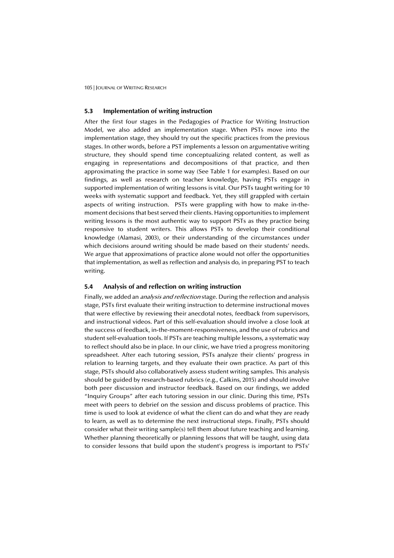# **5.3 Implementation of writing instruction**

After the first four stages in the Pedagogies of Practice for Writing Instruction Model, we also added an implementation stage. When PSTs move into the implementation stage, they should try out the specific practices from the previous stages. In other words, before a PST implements a lesson on argumentative writing structure, they should spend time conceptualizing related content, as well as engaging in representations and decompositions of that practice, and then approximating the practice in some way (See Table 1 for examples). Based on our findings, as well as research on teacher knowledge, having PSTs engage in supported implementation of writing lessons is vital. Our PSTs taught writing for 10 weeks with systematic support and feedback. Yet, they still grappled with certain aspects of writing instruction. PSTs were grappling with how to make in-themoment decisions that best served their clients. Having opportunities to implement writing lessons is the most authentic way to support PSTs as they practice being responsive to student writers. This allows PSTs to develop their conditional knowledge (Alamasi, 2003), or their understanding of the circumstances under which decisions around writing should be made based on their students' needs. We argue that approximations of practice alone would not offer the opportunities that implementation, as well as reflection and analysis do, in preparing PST to teach writing.

# **5.4 Analysis of and reflection on writing instruction**

Finally, we added an *analysis and reflection* stage. During the reflection and analysis stage, PSTs first evaluate their writing instruction to determine instructional moves that were effective by reviewing their anecdotal notes, feedback from supervisors, and instructional videos. Part of this self-evaluation should involve a close look at the success of feedback, in-the-moment-responsiveness, and the use of rubrics and student self-evaluation tools. If PSTs are teaching multiple lessons, a systematic way to reflect should also be in place. In our clinic, we have tried a progress monitoring spreadsheet. After each tutoring session, PSTs analyze their clients' progress in relation to learning targets, and they evaluate their own practice. As part of this stage, PSTs should also collaboratively assess student writing samples. This analysis should be guided by research-based rubrics (e.g., Calkins, 2015) and should involve both peer discussion and instructor feedback. Based on our findings, we added "Inquiry Groups" after each tutoring session in our clinic. During this time, PSTs meet with peers to debrief on the session and discuss problems of practice. This time is used to look at evidence of what the client can do and what they are ready to learn, as well as to determine the next instructional steps. Finally, PSTs should consider what their writing sample(s) tell them about future teaching and learning. Whether planning theoretically or planning lessons that will be taught, using data to consider lessons that build upon the student's progress is important to PSTs'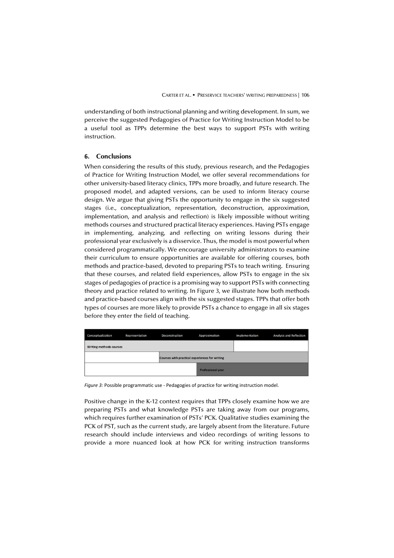understanding of both instructional planning and writing development. In sum, we perceive the suggested Pedagogies of Practice for Writing Instruction Model to be a useful tool as TPPs determine the best ways to support PSTs with writing instruction.

# **6. Conclusions**

When considering the results of this study, previous research, and the Pedagogies of Practice for Writing Instruction Model, we offer several recommendations for other university-based literacy clinics, TPPs more broadly, and future research. The proposed model, and adapted versions, can be used to inform literacy course design. We argue that giving PSTs the opportunity to engage in the six suggested stages (i.e., conceptualization, representation, deconstruction, approximation, implementation, and analysis and reflection) is likely impossible without writing methods courses and structured practical literacy experiences. Having PSTs engage in implementing, analyzing, and reflecting on writing lessons during their professional year exclusively is a disservice. Thus, the model is most powerful when considered programmatically. We encourage university administrators to examine their curriculum to ensure opportunities are available for offering courses, both methods and practice-based, devoted to preparing PSTs to teach writing. Ensuring that these courses, and related field experiences, allow PSTs to engage in the six stages of pedagogies of practice is a promising way to support PSTs with connecting theory and practice related to writing. In Figure 3, we illustrate how both methods and practice-based courses align with the six suggested stages. TPPs that offer both types of courses are more likely to provide PSTs a chance to engage in all six stages before they enter the field of teaching.

| Conceptualization                              | Representation | <b>Deconstruction</b> | Approximation | Implementation | <b>Analysis and Reflection</b> |
|------------------------------------------------|----------------|-----------------------|---------------|----------------|--------------------------------|
| <b>Writing methods courses</b>                 |                |                       |               |                |                                |
| Courses with practical experiences for writing |                |                       |               |                |                                |
| <b>Professional year</b>                       |                |                       |               |                |                                |

*Figure 3:* Possible programmatic use - Pedagogies of practice for writing instruction model.

Positive change in the K-12 context requires that TPPs closely examine how we are preparing PSTs and what knowledge PSTs are taking away from our programs, which requires further examination of PSTs' PCK. Qualitative studies examining the PCK of PST, such as the current study, are largely absent from the literature. Future research should include interviews and video recordings of writing lessons to provide a more nuanced look at how PCK for writing instruction transforms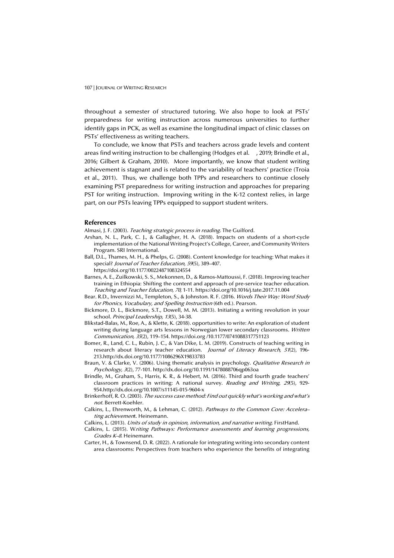throughout a semester of structured tutoring. We also hope to look at PSTs' preparedness for writing instruction across numerous universities to further identify gaps in PCK, as well as examine the longitudinal impact of clinic classes on PSTs' effectiveness as writing teachers.

To conclude, we know that PSTs and teachers across grade levels and content areas find writing instruction to be challenging (Hodges et al. , 2019; Brindle et al., 2016; Gilbert & Graham, 2010). More importantly, we know that student writing achievement is stagnant and is related to the variability of teachers' practice (Troia et al., 2011). Thus, we challenge both TPPs and researchers to continue closely examining PST preparedness for writing instruction and approaches for preparing PST for writing instruction. Improving writing in the K-12 context relies, in large part, on our PSTs leaving TPPs equipped to support student writers.

#### **References**

Almasi, J. F. (2003). Teaching strategic process in reading. The Guilford.

- Arshan, N. L., Park, C. J., & Gallagher, H. A. (2018). Impacts on students of a short-cycle implementation of the National Writing Project's College, Career, and Community Writers Program. SRI International.
- Ball, D.L., Thames, M. H., & Phelps, G. (2008). Content knowledge for teaching: What makes it special? Journal of Teacher Education, 59(5), 389-407.
	- https://doi.org/10.1177/0022487108324554
- Barnes, A. E., Zuilkowski, S. S., Mekonnen, D., & Ramos-Mattoussi, F. (2018). Improving teacher training in Ethiopia: Shifting the content and approach of pre-service teacher education. Teaching and Teacher Education, 70, 1-11. https://doi.org/10.1016/j.tate.2017.11.004
- Bear. R.D., Invernizzi M., Templeton, S., & Johnston. R. F. (2016. Words Their Way: Word Study for Phonics, Vocabulary, and Spelling Instruction (6th ed.). Pearson.
- Bickmore, D. L., Bickmore, S.T., Dowell, M. M. (2013). Initiating a writing revolution in your school. Principal Leadership, 13(5), 34-38.
- Blikstad-Balas, M., Roe, A., & Klette, K. (2018). opportunities to write: An exploration of student writing during language arts lessons in Norwegian lower secondary classrooms. Written Communication, 35(2), 119–154. https://doi.org /10.1177/0741088317751123
- Bomer, R., Land, C. L., Rubin, J. C., & Van Dike, L. M. (2019). Constructs of teaching writing in research about literacy teacher education. Journal of Literacy Research, 51(2), 196-213.http://dx.doi.org/10.1177/1086296X19833783
- Braun, V. & Clarke, V. (2006). Using thematic analysis in psychology. *Qualitative Research in* Psychology, 3(2), 77-101. http://dx.doi.org/10.1191/1478088706qp063oa
- Brindle, M., Graham, S., Harris, K. R., & Hebert, M. (2016). Third and fourth grade teachers' classroom practices in writing: A national survey. Reading and Writing, 29(5), 929- 954.http://dx.doi.org/10.1007/s11145-015-9604-x
- Brinkerhoff, R. O. (2003). The success case method: Find out quickly what's working and what's not. Berrett-Koehler.
- Calkins, L., Ehrenworth, M., & Lehman, C. (2012). Pathways to the Common Core: Accelerating achievement. Heinemann.
- Calkins, L. (2013). Units of study in opinion, information, and narrative writing. FirstHand.
- Calkins, L. (2015). Writing Pathways: Performance assessments and learning progressions, Grades K–8. Heinemann.
- Carter, H., & Townsend, D. R. (2022). A rationale for integrating writing into secondary content area classrooms: Perspectives from teachers who experience the benefits of integrating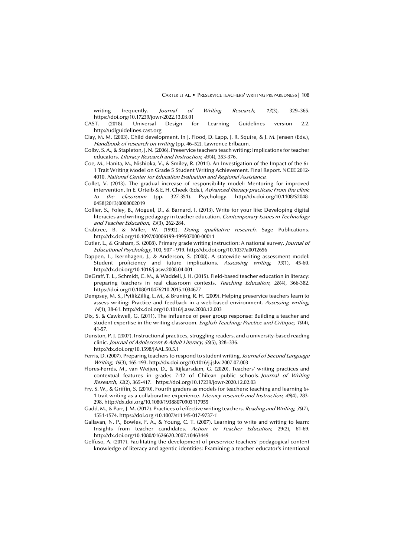writing frequently. *Journal of Writing Research, 13*(3), 329-365. https://doi.org/10.17239/jowr-2022.13.03.01

- CAST. (2018). Universal Design for Learning Guidelines version 2.2. http://udlguidelines.cast.org
- Clay, M. M. (2003). Child development. In J. Flood, D. Lapp, J. R. Squire, & J. M. Jensen (Eds.), Handbook of research on writing (pp. 46-52). Lawrence Erlbaum.
- Colby, S. A., & Stapleton, J. N. (2006). Preservice teachers teach writing: Implications for teacher educators. Literacy Research and Instruction, 45(4), 353-376.
- Coe, M., Hanita, M., Nishioka, V., & Smiley, R. (2011). An Investigation of the Impact of the 6+ 1 Trait Writing Model on Grade 5 Student Writing Achievement. Final Report. NCEE 2012- 4010. National Center for Education Evaluation and Regional Assistance.
- Collet, V. (2013). The gradual increase of responsibility model: Mentoring for improved intervention. In E. Orteib & E. H. Cheek (Eds.), Advanced literacy practices: From the clinic to the classroom (pp. 327-351). Psychology. http://dx.doi.org/10.1108/S2048- 0458(2013)0000002019
- Collier, S., Foley, B., Moguel, D., & Barnard, I. (2013). Write for your life: Developing digital literacies and writing pedagogy in teacher education. Contemporary Issues in Technology and Teacher Education, 13(3), 262-284.
- Crabtree, B. & Miller, W. (1992). Doing qualitative research. Sage Publications. http://dx.doi.org/10.1097/00006199-199507000-00011
- Cutler, L., & Graham, S. (2008). Primary grade writing instruction: A national survey. Journal of Educational Psychology, 100, 907 - 919. http://dx.doi.org/10.1037/a0012656
- Dappen, L., Isernhagen, J., & Anderson, S. (2008). A statewide writing assessment model: Student proficiency and future implications. Assessing writing, 13(1), 45-60. http://dx.doi.org/10.1016/j.asw.2008.04.001
- DeGraff, T. L., Schmidt, C. M., & Waddell, J. H. (2015). Field-based teacher education in literacy: preparing teachers in real classroom contexts. Teaching Education, 26(4), 366-382. https://doi.org/10.1080/10476210.2015.1034677
- Dempsey, M. S., PytlikZillig, L. M., & Bruning, R. H. (2009). Helping preservice teachers learn to assess writing: Practice and feedback in a web-based environment. Assessing writing, <sup>14</sup>(1), 38-61. http://dx.doi.org/10.1016/j.asw.2008.12.003
- Dix, S. & Cawkwell, G. (2011). The influence of peer group response: Building a teacher and student expertise in the writing classroom. English Teaching: Practice and Critique, 10(4), 41-57.
- Dunston, P. J. (2007). Instructional practices, struggling readers, and a university-based reading clinic. Journal of Adolescent & Adult Literacy, 50(5), 328–336. http://dx.doi.org/10.1598/JAAL.50.5.1
- Ferris, D. (2007). Preparing teachers to respond to student writing. Journal of Second Language Writing, 16(3), 165-193. http://dx.doi.org/10.1016/j.jslw.2007.07.003
- Flores-Ferrés, M., van Weijen, D., & Rijlaarsdam, G. (2020). Teachers' writing practices and contextual features in grades 7-12 of Chilean public schools. Journal of Writing Research, 12(2), 365-417. https://doi.org/10.17239/jowr-2020.12.02.03
- Fry, S. W., & Griffin, S. (2010). Fourth graders as models for teachers: teaching and learning 6+ 1 trait writing as a collaborative experience. Literacy research and Instruction, 49(4), 283- 298. http://dx.doi.org/10.1080/19388070903117955
- Gadd, M., & Parr, J. M. (2017). Practices of effective writing teachers. Reading and Writing, 30(7), 1551-1574. https://doi.org /10.1007/s11145-017-9737-1
- Gallavan, N. P., Bowles, F. A., & Young, C. T. (2007). Learning to write and writing to learn: Insights from teacher candidates. Action in Teacher Education, 29(2), 61-69. http://dx.doi.org/10.1080/01626620.2007.10463449
- Gelfuso, A. (2017). Facilitating the development of preservice teachers' pedagogical content knowledge of literacy and agentic identities: Examining a teacher educator's intentional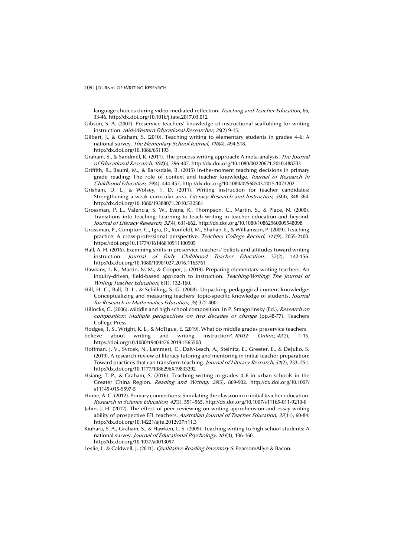language choices during video-mediated reflection. Teaching and Teacher Education, 66, 33-46. http://dx.doi.org/10.1016/j.tate.2017.03.012

- Gibson, S. A. (2007). Preservice teachers' knowledge of instructional scaffolding for writing instruction. Mid-Western Educational Researcher, 20(2) 9-15.
- Gilbert, J., & Graham, S. (2010). Teaching writing to elementary students in grades 4–6: A national survey. The Elementary School Journal, 110(4), 494-518. http://dx.doi.org/10.1086/651193
- Graham, S., & Sandmel, K. (2011). The process writing approach: A meta-analysis. The Journal of Educational Research, 104(6), 396-407. http://dx.doi.org/10.1080/00220671.2010.488703
- Griffith, R., Bauml, M., & Barksdale, B. (2015) In-the-moment teaching decisions in primary grade reading: The role of context and teacher knowledge. Journal of Research in Childhood Education, 29(4), 444-457. http://dx.doi.org/10.1080/02568543.2015.1073202
- Grisham, D. L., & Wolsey, T. D. (2011). Writing instruction for teacher candidates: Strengthening a weak curricular area. Literacy Research and Instruction, 50(4), 348-364. http://dx.doi.org/10.1080/19388071.2010.532581
- Grossman, P. L., Valencia, S. W., Evans, K., Thompson, C., Martin, S., & Place, N. (2000). Transitions into teaching: Learning to teach writing in teacher education and beyond. Journal of Literacy Research, 32(4), 631-662. http://dx.doi.org/10.1080/10862960009548098
- Grossman, P., Compton, C., Igra, D., Ronfeldt, M., Shahan, E., & Williamson, P. (2009). Teaching practice: A cross-professional perspective. Teachers College Record, 111(9), 2055-2100. https://doi.org/10.1177/016146810911100905
- Hall, A. H. (2016). Examining shifts in preservice teachers' beliefs and attitudes toward writing instruction. Journal of Early Childhood Teacher Education, 37(2), 142-156. http://dx.doi.org/10.1080/10901027.2016.1165761
- Hawkins, L. K., Martin, N. M., & Cooper, J. (2019). Preparing elementary writing teachers: An inquiry-driven, field-based approach to instruction. Teaching/Writing: The Journal of Writing Teacher Education, 6(1), 132-160.
- Hill, H. C., Ball, D. L., & Schilling, S. G. (2008). Unpacking pedagogical content knowledge: Conceptualizing and measuring teachers' topic-specific knowledge of students. Journal for Research in Mathematics Education, 39, 372-400.
- Hillocks, G. (2006). Middle and high school composition. In P. Smagorinsky (Ed.), Research on composition: Multiple perspectives on two decades of change (pp.48-77). Teachers College Press.
- Hodges, T. S., Wright, K. L., & McTigue, E. (2019). What do middle grades preservice teachers
- believe about writing and writing instruction?. RMLE Online, 42(2), 1-15. https://doi.org/10.1080/19404476.2019.1565508
- Hoffman, J. V., Svrcek, N., Lammert, C., Daly-Lesch, A., Steinitz, E., Greeter, E., & DeJulio, S. (2019). A research review of literacy tutoring and mentoring in initial teacher preparation: Toward practices that can transform teaching. Journal of Literacy Research, 51(2), 233–251. http://dx.doi.org/10.1177/1086296X19833292
- Hsiang, T. P., & Graham, S. (2016). Teaching writing in grades 4–6 in urban schools in the Greater China Region. Reading and Writing, 29(5), 869-902. http://dx.doi.org/10.1007/ s11145-015-9597-5
- Hume, A. C. (2012). Primary connections: Simulating the classroom in initial teacher education. Research in Science Education, 42(3), 551–565. http://dx.doi.org/10.1007/s11165-011-9210-0
- Jahin, J. H. (2012). The effect of peer reviewing on writing apprehension and essay writing ability of prospective EFL teachers. Australian Journal of Teacher Education, 37(11), 60-84. http://dx.doi.org/10.14221/ajte.2012v37n11.3
- Kiuhara, S. A., Graham, S., & Hawken, L. S. (2009). Teaching writing to high school students: A national survey. Journal of Educational Psychology, 101(1), 136-160. http://dx.doi.org/10.1037/a0013097
- Leslie, L. & Caldwell, J. (2011). *Qualitative Reading Inventory 5*. Pearson/Allyn & Bacon.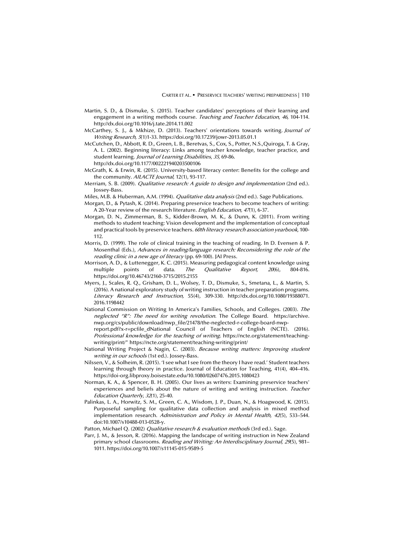- Martin, S. D., & Dismuke, S. (2015). Teacher candidates' perceptions of their learning and engagement in a writing methods course. Teaching and Teacher Education, 46, 104-114. http://dx.doi.org/10.1016/j.tate.2014.11.002
- McCarthey, S. J., & Mkhize, D. (2013). Teachers' orientations towards writing. Journal of Writing Research, 5(1)1-33. https://doi.org/10.17239/jowr-2013.05.01.1
- McCutchen, D., Abbott, R. D., Green, L. B., Beretvas, S., Cox, S., Potter, N.S.,Quiroga, T. & Gray, A. L. (2002). Beginning literacy: Links among teacher knowledge, teacher practice, and student learning. Journal of Learning Disabilities, 35, 69-86. http://dx.doi.org/10.1177/002221940203500106
- McGrath, K. & Erwin, R. (2015). University-based literacy center: Benefits for the college and the community. AILACTE Journal, 12(1), 93-117.
- Merriam, S. B. (2009). Qualitative research: A guide to design and implementation (2nd ed.). Jossey-Bass.
- Miles, M.B. & Huberman, A.M. (1994). Qualitative data analysis (2nd ed.). Sage Publications.
- Morgan, D., & Pytash, K. (2014). Preparing preservice teachers to become teachers of writing: A 20-Year review of the research literature. English Education, <sup>47</sup>(1), 6-37.
- Morgan, D. N., Zimmerman, B. S., Kidder-Brown, M. K., & Dunn, K. (2011). From writing methods to student teaching: Vision development and the implementation of conceptual and practical tools by preservice teachers. 60th literacy research association yearbook, 100-112.
- Morris, D. (1999). The role of clinical training in the teaching of reading. In D. Evensen & P. Mosenthal (Eds.), Advances in reading/language research: Reconsidering the role of the reading clinic in a new age of literacy (pp. 69-100). JAI Press.
- Morrison, A. D., & Luttenegger, K. C. (2015). Measuring pedagogical content knowledge using multiple points of data. The Qualitative Report, 20(6), 804-816. https://doi.org/10.46743/2160-3715/2015.2155
- Myers, J., Scales, R. Q., Grisham, D. L., Wolsey, T. D., Dismuke, S., Smetana, L., & Martin, S. (2016). A national exploratory study of writing instruction in teacher preparation programs. Literacy Research and Instruction, 55(4), 309-330. http://dx.doi.org/10.1080/19388071. 2016.1198442
- National Commission on Writing In America's Families, Schools, and Colleges. (2003). The neglected "R": The need for writing revolution. The College Board. https://archive. nwp.org/cs/public/download/nwp\_file/21478/the-neglected-r-college-board-nwpreport.pdf?x-r=pcfile\_dNational Council of Teachers of English (NCTE). (2016). Professional knowledge for the teaching of writing. https://ncte.org/statement/teaching-
- writing/print/" https://ncte.org/statement/teaching-writing/print/ National Writing Project & Nagin, C. (2003). Because writing matters: Improving student writing in our schools (1st ed.). Jossey-Bass.
- Nilssen, V., & Solheim, R. (2015). 'I see what I see from the theory I have read.' Student teachers learning through theory in practice. Journal of Education for Teaching, 41(4), 404–416. https://doi-org.libproxy.boisestate.edu/10.1080/02607476.2015.1080423
- Norman, K. A., & Spencer, B. H. (2005). Our lives as writers: Examining preservice teachers' experiences and beliefs about the nature of writing and writing instruction. *Teacher* Education Quarterly, 32(1), 25-40.
- Palinkas, L. A., Horwitz, S. M., Green, C. A., Wisdom, J. P., Duan, N., & Hoagwood, K. (2015). Purposeful sampling for qualitative data collection and analysis in mixed method implementation research. Administration and Policy in Mental Health, 42(5), 533-544. doi:10.1007/s10488-013-0528-y.
- Patton, Michael Q. (2002) Qualitative research & evaluation methods (3rd ed.). Sage.
- Parr, J. M., & Jesson, R. (2016). Mapping the landscape of writing instruction in New Zealand primary school classrooms. Reading and Writing: An Interdisciplinary Journal, 29(5), 981– 1011. https://doi.org/10.1007/s11145-015-9589-5